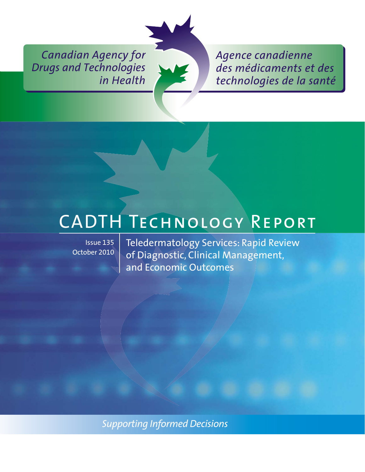*Canadian Agency for Drugs and Technologies in Health*



*Agence canadienne des médicaments et des technologies de la santé*

Issue 135 October 2010

ENDED TECHNOLOGY<br>
Issue 135 | Teledermatology Services: Rapid Review of Diagnostic, Clinical Management, and Economic Outcomes

*Supporting Informed Decisions*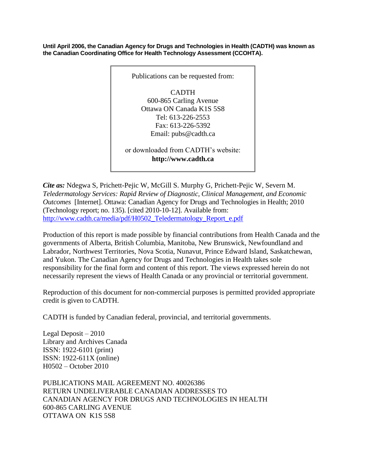**Until April 2006, the Canadian Agency for Drugs and Technologies in Health (CADTH) was known as the Canadian Coordinating Office for Health Technology Assessment (CCOHTA).**



*Cite as:* Ndegwa S, Prichett-Pejic W, McGill S. Murphy G, Prichett-Pejic W, Severn M. *Teledermatology Services: Rapid Review of Diagnostic, Clinical Management, and Economic Outcomes* [Internet]. Ottawa: Canadian Agency for Drugs and Technologies in Health; 2010 (Technology report; no. 135). [cited 2010-10-12]. Available from: [http://www.cadth.ca/media/pdf/H0502\\_Teledermatology\\_Report\\_e.pdf](http://www.cadth.ca/media/pdf/H0502_Teledermatology_Report_e.pdf)

Production of this report is made possible by financial contributions from Health Canada and the governments of Alberta, British Columbia, Manitoba, New Brunswick, Newfoundland and Labrador, Northwest Territories, Nova Scotia, Nunavut, Prince Edward Island, Saskatchewan, and Yukon. The Canadian Agency for Drugs and Technologies in Health takes sole responsibility for the final form and content of this report. The views expressed herein do not necessarily represent the views of Health Canada or any provincial or territorial government.

Reproduction of this document for non-commercial purposes is permitted provided appropriate credit is given to CADTH.

CADTH is funded by Canadian federal, provincial, and territorial governments.

Legal Deposit – 2010 Library and Archives Canada ISSN: 1922-6101 (print) ISSN: 1922-611X (online) H0502 – October 2010

PUBLICATIONS MAIL AGREEMENT NO. 40026386 RETURN UNDELIVERABLE CANADIAN ADDRESSES TO CANADIAN AGENCY FOR DRUGS AND TECHNOLOGIES IN HEALTH 600-865 CARLING AVENUE OTTAWA ON K1S 5S8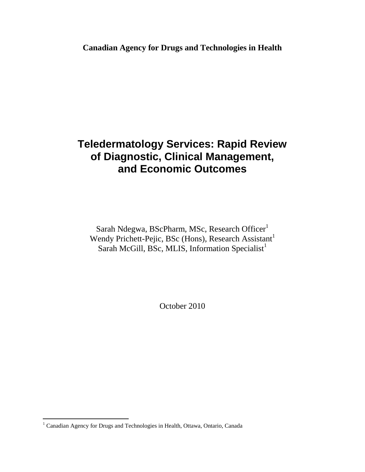### **Teledermatology Services: Rapid Review of Diagnostic, Clinical Management, and Economic Outcomes**

Sarah Ndegwa, BScPharm, MSc, Research Officer<sup>1</sup> Wendy Prichett-Pejic, BSc (Hons), Research Assistant<sup>1</sup> Sarah McGill, BSc, MLIS, Information Specialist<sup>1</sup>

October 2010

 $\overline{a}$ 

 $1$  Canadian Agency for Drugs and Technologies in Health, Ottawa, Ontario, Canada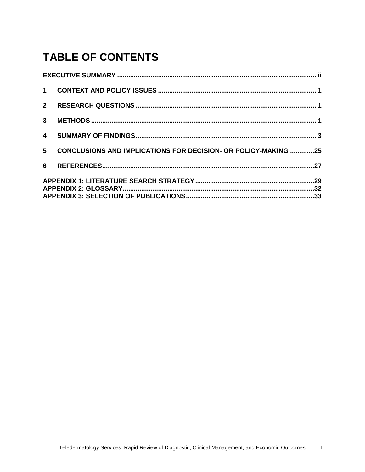# **TABLE OF CONTENTS**

| 3 <sup>1</sup> |                                                                |  |
|----------------|----------------------------------------------------------------|--|
| $\overline{4}$ |                                                                |  |
| 5 <sup>5</sup> | CONCLUSIONS AND IMPLICATIONS FOR DECISION- OR POLICY-MAKING 25 |  |
|                |                                                                |  |
|                |                                                                |  |
|                |                                                                |  |

 $\overline{\mathbf{i}}$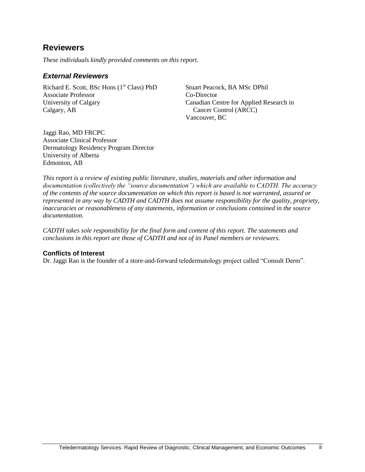### <span id="page-4-0"></span>**Reviewers**

*These individuals kindly provided comments on this report.*

#### *External Reviewers*

Richard E. Scott, BSc Hons  $(1<sup>st</sup> Class) PhD$ Associate Professor University of Calgary Calgary, AB

Stuart Peacock, BA MSc DPhil Co-Director Canadian Centre for Applied Research in Cancer Control (ARCC) Vancouver, BC

Jaggi Rao, MD FRCPC Associate Clinical Professor Dermatology Residency Program Director University of Alberta Edmonton, AB

*This report is a review of existing public literature, studies, materials and other information and documentation (collectively the "source documentation") which are available to CADTH. The accuracy of the contents of the source documentation on which this report is based is not warranted, assured or represented in any way by CADTH and CADTH does not assume responsibility for the quality, propriety, inaccuracies or reasonableness of any statements, information or conclusions contained in the source documentation.*

*CADTH takes sole responsibility for the final form and content of this report. The statements and conclusions in this report are those of CADTH and not of its Panel members or reviewers.*

#### **Conflicts of Interest**

Dr. Jaggi Rao is the founder of a store-and-forward teledermatology project called "Consult Derm".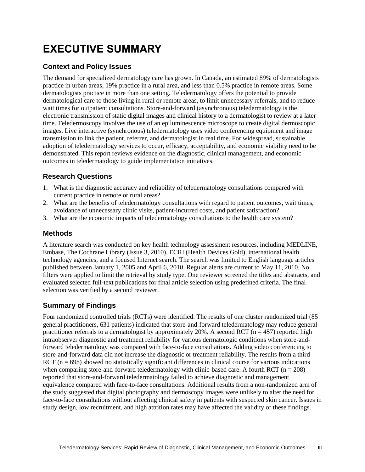## **EXECUTIVE SUMMARY**

#### **Context and Policy Issues**

The demand for specialized dermatology care has grown. In Canada, an estimated 89% of dermatologists practice in urban areas, 19% practice in a rural area, and less than 0.5% practice in remote areas. Some dermatologists practice in more than one setting. Teledermatology offers the potential to provide dermatological care to those living in rural or remote areas, to limit unnecessary referrals, and to reduce wait times for outpatient consultations. Store-and-forward (asynchronous) teledermatology is the electronic transmission of static digital images and clinical history to a dermatologist to review at a later time. Teledermoscopy involves the use of an epiluminescence microscope to create digital dermoscopic images. Live interactive (synchronous) teledermatology uses video conferencing equipment and image transmission to link the patient, referrer, and dermatologist in real time. For widespread, sustainable adoption of teledermatology services to occur, efficacy, acceptability, and economic viability need to be demonstrated. This report reviews evidence on the diagnostic, clinical management, and economic outcomes in teledermatology to guide implementation initiatives.

#### **Research Questions**

- 1. What is the diagnostic accuracy and reliability of teledermatology consultations compared with current practice in remote or rural areas?
- 2. What are the benefits of teledermatology consultations with regard to patient outcomes, wait times, avoidance of unnecessary clinic visits, patient-incurred costs, and patient satisfaction?
- 3. What are the economic impacts of teledermatology consultations to the health care system?

#### **Methods**

A literature search was conducted on key health technology assessment resources, including MEDLINE, Embase, The Cochrane Library (Issue 3, 2010), ECRI (Health Devices Gold), international health technology agencies, and a focused Internet search. The search was limited to English language articles published between January 1, 2005 and April 6, 2010. Regular alerts are current to May 11, 2010. No filters were applied to limit the retrieval by study type. One reviewer screened the titles and abstracts, and evaluated selected full-text publications for final article selection using predefined criteria. The final selection was verified by a second reviewer.

#### **Summary of Findings**

Four randomized controlled trials (RCTs) were identified. The results of one cluster randomized trial (85 general practitioners, 631 patients) indicated that store-and-forward teledermatology may reduce general practitioner referrals to a dermatologist by approximately 20%. A second RCT ( $n = 457$ ) reported high intraobserver diagnostic and treatment reliability for various dermatologic conditions when store-andforward teledermatology was compared with face-to-face consultations. Adding video conferencing to store-and-forward data did not increase the diagnostic or treatment reliability. The results from a third RCT ( $n = 698$ ) showed no statistically significant differences in clinical course for various indications when comparing store-and-forward teledermatology with clinic-based care. A fourth RCT ( $n = 208$ ) reported that store-and-forward teledermatology failed to achieve diagnostic and management equivalence compared with face-to-face consultations. Additional results from a non-randomized arm of the study suggested that digital photography and dermoscopy images were unlikely to alter the need for face-to-face consultations without affecting clinical safety in patients with suspected skin cancer. Issues in study design, low recruitment, and high attrition rates may have affected the validity of these findings.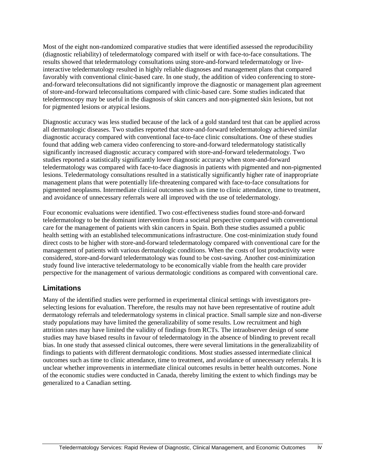Most of the eight non-randomized comparative studies that were identified assessed the reproducibility (diagnostic reliability) of teledermatology compared with itself or with face-to-face consultations. The results showed that teledermatology consultations using store-and-forward teledermatology or liveinteractive teledermatology resulted in highly reliable diagnoses and management plans that compared favorably with conventional clinic-based care. In one study, the addition of video conferencing to storeand-forward teleconsultations did not significantly improve the diagnostic or management plan agreement of store-and-forward teleconsultations compared with clinic-based care. Some studies indicated that teledermoscopy may be useful in the diagnosis of skin cancers and non-pigmented skin lesions, but not for pigmented lesions or atypical lesions.

Diagnostic accuracy was less studied because of the lack of a gold standard test that can be applied across all dermatologic diseases. Two studies reported that store-and-forward teledermatology achieved similar diagnostic accuracy compared with conventional face-to-face clinic consultations. One of these studies found that adding web camera video conferencing to store-and-forward teledermatology statistically significantly increased diagnostic accuracy compared with store-and-forward teledermatology. Two studies reported a statistically significantly lower diagnostic accuracy when store-and-forward teledermatology was compared with face-to-face diagnosis in patients with pigmented and non-pigmented lesions. Teledermatology consultations resulted in a statistically significantly higher rate of inappropriate management plans that were potentially life-threatening compared with face-to-face consultations for pigmented neoplasms. Intermediate clinical outcomes such as time to clinic attendance, time to treatment, and avoidance of unnecessary referrals were all improved with the use of teledermatology.

Four economic evaluations were identified. Two cost-effectiveness studies found store-and-forward teledermatology to be the dominant intervention from a societal perspective compared with conventional care for the management of patients with skin cancers in Spain. Both these studies assumed a public health setting with an established telecommunications infrastructure. One cost-minimization study found direct costs to be higher with store-and-forward teledermatology compared with conventional care for the management of patients with various dermatologic conditions. When the costs of lost productivity were considered, store-and-forward teledermatology was found to be cost-saving. Another cost-minimization study found live interactive teledermatology to be economically viable from the health care provider perspective for the management of various dermatologic conditions as compared with conventional care.

#### **Limitations**

Many of the identified studies were performed in experimental clinical settings with investigators preselecting lesions for evaluation. Therefore, the results may not have been representative of routine adult dermatology referrals and teledermatology systems in clinical practice. Small sample size and non-diverse study populations may have limited the generalizability of some results. Low recruitment and high attrition rates may have limited the validity of findings from RCTs. The intraobserver design of some studies may have biased results in favour of teledermatology in the absence of blinding to prevent recall bias. In one study that assessed clinical outcomes, there were several limitations in the generalizability of findings to patients with different dermatologic conditions. Most studies assessed intermediate clinical outcomes such as time to clinic attendance, time to treatment, and avoidance of unnecessary referrals. It is unclear whether improvements in intermediate clinical outcomes results in better health outcomes. None of the economic studies were conducted in Canada, thereby limiting the extent to which findings may be generalized to a Canadian setting.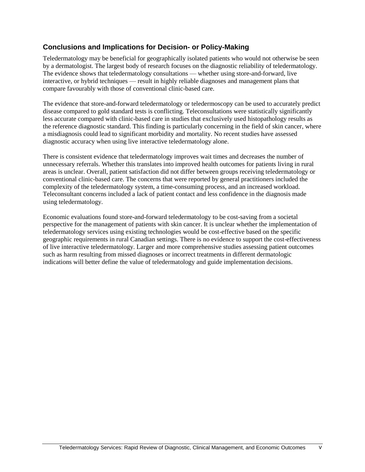#### **Conclusions and Implications for Decision- or Policy-Making**

Teledermatology may be beneficial for geographically isolated patients who would not otherwise be seen by a dermatologist. The largest body of research focuses on the diagnostic reliability of teledermatology. The evidence shows that teledermatology consultations — whether using store-and-forward, live interactive, or hybrid techniques — result in highly reliable diagnoses and management plans that compare favourably with those of conventional clinic-based care.

The evidence that store-and-forward teledermatology or teledermoscopy can be used to accurately predict disease compared to gold standard tests is conflicting. Teleconsultations were statistically significantly less accurate compared with clinic-based care in studies that exclusively used histopathology results as the reference diagnostic standard. This finding is particularly concerning in the field of skin cancer, where a misdiagnosis could lead to significant morbidity and mortality. No recent studies have assessed diagnostic accuracy when using live interactive teledermatology alone.

There is consistent evidence that teledermatology improves wait times and decreases the number of unnecessary referrals. Whether this translates into improved health outcomes for patients living in rural areas is unclear. Overall, patient satisfaction did not differ between groups receiving teledermatology or conventional clinic-based care. The concerns that were reported by general practitioners included the complexity of the teledermatology system, a time-consuming process, and an increased workload. Teleconsultant concerns included a lack of patient contact and less confidence in the diagnosis made using teledermatology.

Economic evaluations found store-and-forward teledermatology to be cost-saving from a societal perspective for the management of patients with skin cancer. It is unclear whether the implementation of teledermatology services using existing technologies would be cost-effective based on the specific geographic requirements in rural Canadian settings. There is no evidence to support the cost-effectiveness of live interactive teledermatology. Larger and more comprehensive studies assessing patient outcomes such as harm resulting from missed diagnoses or incorrect treatments in different dermatologic indications will better define the value of teledermatology and guide implementation decisions.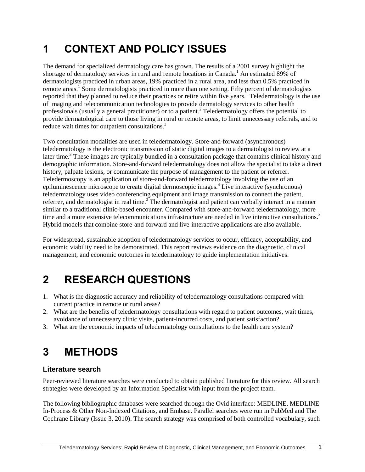# <span id="page-8-0"></span>**1 CONTEXT AND POLICY ISSUES**

The demand for specialized dermatology care has grown. The results of a 2001 survey highlight the shortage of dermatology services in rural and remote locations in Canada.<sup>1</sup> An estimated 89% of dermatologists practiced in urban areas, 19% practiced in a rural area, and less than 0.5% practiced in remote areas.<sup>1</sup> Some dermatologists practiced in more than one setting. Fifty percent of dermatologists reported that they planned to reduce their practices or retire within five years.<sup>1</sup> Teledermatology is the use of imaging and telecommunication technologies to provide dermatology services to other health professionals (usually a general practitioner) or to a patient.<sup>2</sup> Teledermatology offers the potential to provide dermatological care to those living in rural or remote areas, to limit unnecessary referrals, and to reduce wait times for outpatient consultations.<sup>3</sup>

Two consultation modalities are used in teledermatology. Store-and-forward (asynchronous) teledermatology is the electronic transmission of static digital images to a dermatologist to review at a later time.<sup>3</sup> These images are typically bundled in a consultation package that contains clinical history and demographic information. Store-and-forward teledermatology does not allow the specialist to take a direct history, palpate lesions, or communicate the purpose of management to the patient or referrer. Teledermoscopy is an application of store-and-forward teledermatology involving the use of an epiluminescence microscope to create digital dermoscopic images.<sup>4</sup> Live interactive (synchronous) teledermatology uses video conferencing equipment and image transmission to connect the patient, referrer, and dermatologist in real time.<sup>3</sup> The dermatologist and patient can verbally interact in a manner similar to a traditional clinic-based encounter. Compared with store-and-forward teledermatology, more time and a more extensive telecommunications infrastructure are needed in live interactive consultations.<sup>3</sup> Hybrid models that combine store-and-forward and live-interactive applications are also available.

For widespread, sustainable adoption of teledermatology services to occur, efficacy, acceptability, and economic viability need to be demonstrated. This report reviews evidence on the diagnostic, clinical management, and economic outcomes in teledermatology to guide implementation initiatives.

### <span id="page-8-1"></span>**2 RESEARCH QUESTIONS**

- 1. What is the diagnostic accuracy and reliability of teledermatology consultations compared with current practice in remote or rural areas?
- 2. What are the benefits of teledermatology consultations with regard to patient outcomes, wait times, avoidance of unnecessary clinic visits, patient-incurred costs, and patient satisfaction?
- 3. What are the economic impacts of teledermatology consultations to the health care system?

### <span id="page-8-2"></span>**3 METHODS**

#### **Literature search**

Peer-reviewed literature searches were conducted to obtain published literature for this review. All search strategies were developed by an Information Specialist with input from the project team.

The following bibliographic databases were searched through the Ovid interface: MEDLINE, MEDLINE In-Process & Other Non-Indexed Citations, and Embase. Parallel searches were run in PubMed and The Cochrane Library (Issue 3, 2010). The search strategy was comprised of both controlled vocabulary, such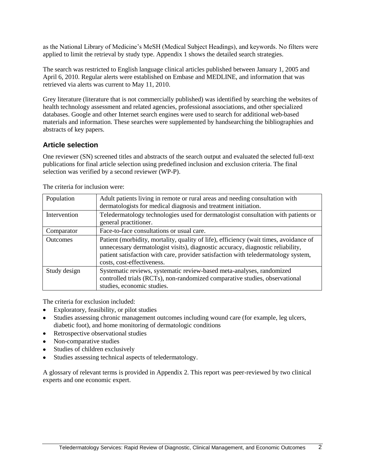as the National Library of Medicine's MeSH (Medical Subject Headings), and keywords. No filters were applied to limit the retrieval by study type. Appendix 1 shows the detailed search strategies.

The search was restricted to English language clinical articles published between January 1, 2005 and April 6, 2010. Regular alerts were established on Embase and MEDLINE, and information that was retrieved via alerts was current to May 11, 2010.

Grey literature (literature that is not commercially published) was identified by searching the websites of health technology assessment and related agencies, professional associations, and other specialized databases. Google and other Internet search engines were used to search for additional web-based materials and information. These searches were supplemented by handsearching the bibliographies and abstracts of key papers.

#### **Article selection**

One reviewer (SN) screened titles and abstracts of the search output and evaluated the selected full-text publications for final article selection using predefined inclusion and exclusion criteria. The final selection was verified by a second reviewer (WP-P).

| Population      | Adult patients living in remote or rural areas and needing consultation with<br>dermatologists for medical diagnosis and treatment initiation.                                                                                                                                               |
|-----------------|----------------------------------------------------------------------------------------------------------------------------------------------------------------------------------------------------------------------------------------------------------------------------------------------|
| Intervention    | Teledermatology technologies used for dermatologist consultation with patients or<br>general practitioner.                                                                                                                                                                                   |
| Comparator      | Face-to-face consultations or usual care.                                                                                                                                                                                                                                                    |
| <b>Outcomes</b> | Patient (morbidity, mortality, quality of life), efficiency (wait times, avoidance of<br>unnecessary dermatologist visits), diagnostic accuracy, diagnostic reliability,<br>patient satisfaction with care, provider satisfaction with teledermatology system,<br>costs, cost-effectiveness. |
| Study design    | Systematic reviews, systematic review-based meta-analyses, randomized<br>controlled trials (RCTs), non-randomized comparative studies, observational<br>studies, economic studies.                                                                                                           |

The criteria for inclusion were:

The criteria for exclusion included:

- Exploratory, feasibility, or pilot studies
- Studies assessing chronic management outcomes including wound care (for example, leg ulcers, diabetic foot), and home monitoring of dermatologic conditions
- Retrospective observational studies
- Non-comparative studies
- Studies of children exclusively
- Studies assessing technical aspects of teledermatology.

A glossary of relevant terms is provided in Appendix 2. This report was peer-reviewed by two clinical experts and one economic expert.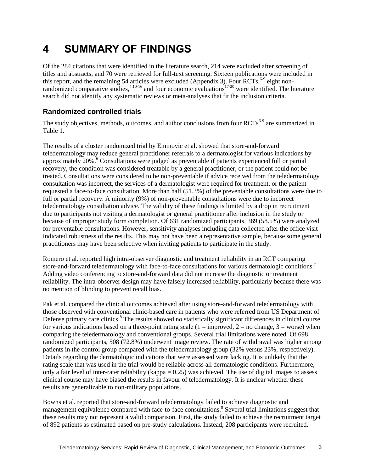### <span id="page-10-0"></span>**4 SUMMARY OF FINDINGS**

Of the 284 citations that were identified in the literature search, 214 were excluded after screening of titles and abstracts, and 70 were retrieved for full-text screening. Sixteen publications were included in this report, and the remaining 54 articles were excluded (Appendix 3). Four RCTs,  $6-9$  eight nonrandomized comparative studies,  $4,10-16$  and four economic evaluations<sup>17-20</sup> were identified. The literature search did not identify any systematic reviews or meta-analyses that fit the inclusion criteria.

#### **Randomized controlled trials**

The study objectives, methods, outcomes, and author conclusions from four RCTs<sup>6-9</sup> are summarized in Table 1.

The results of a cluster randomized trial by Eminovic et al. showed that store-and-forward teledermatology may reduce general practitioner referrals to a dermatologist for various indications by approximately 20%.<sup>6</sup> Consultations were judged as preventable if patients experienced full or partial recovery, the condition was considered treatable by a general practitioner, or the patient could not be treated. Consultations were considered to be non-preventable if advice received from the teledermatology consultation was incorrect, the services of a dermatologist were required for treatment, or the patient requested a face-to-face consultation. More than half (51.3%) of the preventable consultations were due to full or partial recovery. A minority (9%) of non-preventable consultations were due to incorrect teledermatology consultation advice. The validity of these findings is limited by a drop in recruitment due to participants not visiting a dermatologist or general practitioner after inclusion in the study or because of improper study form completion. Of 631 randomized participants, 369 (58.5%) were analyzed for preventable consultations. However, sensitivity analyses including data collected after the office visit indicated robustness of the results. This may not have been a representative sample, because some general practitioners may have been selective when inviting patients to participate in the study.

Romero et al. reported high intra-observer diagnostic and treatment reliability in an RCT comparing store-and-forward teledermatology with face-to-face consultations for various dermatologic conditions.<sup>7</sup> Adding video conferencing to store-and-forward data did not increase the diagnostic or treatment reliability. The intra-observer design may have falsely increased reliability, particularly because there was no mention of blinding to prevent recall bias.

Pak et al. compared the clinical outcomes achieved after using store-and-forward teledermatology with those observed with conventional clinic-based care in patients who were referred from US Department of Defense primary care clinics.<sup>8</sup> The results showed no statistically significant differences in clinical course for various indications based on a three-point rating scale  $(1 = \text{improved}, 2 = \text{no change}, 3 = \text{worse})$  when comparing the teledermatology and conventional groups. Several trial limitations were noted. Of 698 randomized participants, 508 (72.8%) underwent image review. The rate of withdrawal was higher among patients in the control group compared with the teledermatology group (32% versus 23%, respectively). Details regarding the dermatologic indications that were assessed were lacking. It is unlikely that the rating scale that was used in the trial would be reliable across all dermatologic conditions. Furthermore, only a fair level of inter-rater reliability (kappa  $= 0.25$ ) was achieved. The use of digital images to assess clinical course may have biased the results in favour of teledermatology. It is unclear whether these results are generalizable to non-military populations.

Bowns et al. reported that store-and-forward teledermatology failed to achieve diagnostic and management equivalence compared with face-to-face consultations.<sup>9</sup> Several trial limitations suggest that these results may not represent a valid comparison. First, the study failed to achieve the recruitment target of 892 patients as estimated based on pre-study calculations. Instead, 208 participants were recruited.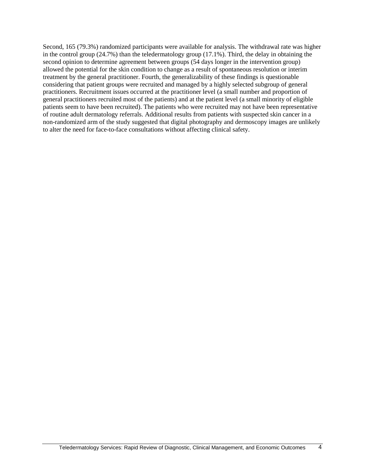Second, 165 (79.3%) randomized participants were available for analysis. The withdrawal rate was higher in the control group (24.7%) than the teledermatology group (17.1%). Third, the delay in obtaining the second opinion to determine agreement between groups (54 days longer in the intervention group) allowed the potential for the skin condition to change as a result of spontaneous resolution or interim treatment by the general practitioner. Fourth, the generalizability of these findings is questionable considering that patient groups were recruited and managed by a highly selected subgroup of general practitioners. Recruitment issues occurred at the practitioner level (a small number and proportion of general practitioners recruited most of the patients) and at the patient level (a small minority of eligible patients seem to have been recruited). The patients who were recruited may not have been representative of routine adult dermatology referrals. Additional results from patients with suspected skin cancer in a non-randomized arm of the study suggested that digital photography and dermoscopy images are unlikely to alter the need for face-to-face consultations without affecting clinical safety.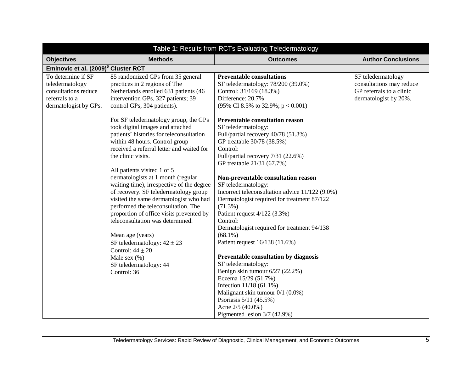| Table 1: Results from RCTs Evaluating Teledermatology                                                    |                                                                                                                                                                                                                                                                                                                                                                                                                                                                                                                                                                                                                                                                                                                                                                                                                                                                                       |                                                                                                                                                                                                                                                                                                                                                                                                                                                                                                                                                                                                                                                                                                                                                                                                                                                                  |                                                                                                     |
|----------------------------------------------------------------------------------------------------------|---------------------------------------------------------------------------------------------------------------------------------------------------------------------------------------------------------------------------------------------------------------------------------------------------------------------------------------------------------------------------------------------------------------------------------------------------------------------------------------------------------------------------------------------------------------------------------------------------------------------------------------------------------------------------------------------------------------------------------------------------------------------------------------------------------------------------------------------------------------------------------------|------------------------------------------------------------------------------------------------------------------------------------------------------------------------------------------------------------------------------------------------------------------------------------------------------------------------------------------------------------------------------------------------------------------------------------------------------------------------------------------------------------------------------------------------------------------------------------------------------------------------------------------------------------------------------------------------------------------------------------------------------------------------------------------------------------------------------------------------------------------|-----------------------------------------------------------------------------------------------------|
| <b>Objectives</b>                                                                                        | <b>Methods</b>                                                                                                                                                                                                                                                                                                                                                                                                                                                                                                                                                                                                                                                                                                                                                                                                                                                                        | <b>Outcomes</b>                                                                                                                                                                                                                                                                                                                                                                                                                                                                                                                                                                                                                                                                                                                                                                                                                                                  | <b>Author Conclusions</b>                                                                           |
| Eminovic et al. (2009) <sup>6</sup> Cluster RCT                                                          |                                                                                                                                                                                                                                                                                                                                                                                                                                                                                                                                                                                                                                                                                                                                                                                                                                                                                       |                                                                                                                                                                                                                                                                                                                                                                                                                                                                                                                                                                                                                                                                                                                                                                                                                                                                  |                                                                                                     |
| To determine if SF<br>teledermatology<br>consultations reduce<br>referrals to a<br>dermatologist by GPs. | 85 randomized GPs from 35 general<br>practices in 2 regions of The<br>Netherlands enrolled 631 patients (46<br>intervention GPs, 327 patients; 39<br>control GPs, 304 patients).<br>For SF teledermatology group, the GPs<br>took digital images and attached<br>patients' histories for teleconsultation<br>within 48 hours. Control group<br>received a referral letter and waited for<br>the clinic visits.<br>All patients visited 1 of 5<br>dermatologists at 1 month (regular<br>waiting time), irrespective of the degree<br>of recovery. SF teledermatology group<br>visited the same dermatologist who had<br>performed the teleconsultation. The<br>proportion of office visits prevented by<br>teleconsultation was determined.<br>Mean age (years)<br>SF teledermatology: $42 \pm 23$<br>Control: $44 \pm 20$<br>Male sex $(\%)$<br>SF teledermatology: 44<br>Control: 36 | <b>Preventable consultations</b><br>SF teledermatology: 78/200 (39.0%)<br>Control: 31/169 (18.3%)<br>Difference: 20.7%<br>(95% CI 8.5% to 32.9%; $p < 0.001$ )<br>Preventable consultation reason<br>SF teledermatology:<br>Full/partial recovery 40/78 (51.3%)<br>GP treatable 30/78 (38.5%)<br>Control:<br>Full/partial recovery 7/31 (22.6%)<br>GP treatable 21/31 (67.7%)<br>Non-preventable consultation reason<br>SF teledermatology:<br>Incorrect teleconsultation advice 11/122 (9.0%)<br>Dermatologist required for treatment 87/122<br>$(71.3\%)$<br>Patient request $4/122$ (3.3%)<br>Control:<br>Dermatologist required for treatment 94/138<br>$(68.1\%)$<br>Patient request 16/138 (11.6%)<br>Preventable consultation by diagnosis<br>SF teledermatology:<br>Benign skin tumour 6/27 (22.2%)<br>Eczema 15/29 (51.7%)<br>Infection $11/18$ (61.1%) | SF teledermatology<br>consultations may reduce<br>GP referrals to a clinic<br>dermatologist by 20%. |
|                                                                                                          |                                                                                                                                                                                                                                                                                                                                                                                                                                                                                                                                                                                                                                                                                                                                                                                                                                                                                       | Malignant skin tumour 0/1 (0.0%)                                                                                                                                                                                                                                                                                                                                                                                                                                                                                                                                                                                                                                                                                                                                                                                                                                 |                                                                                                     |
|                                                                                                          |                                                                                                                                                                                                                                                                                                                                                                                                                                                                                                                                                                                                                                                                                                                                                                                                                                                                                       | Psoriasis 5/11 (45.5%)                                                                                                                                                                                                                                                                                                                                                                                                                                                                                                                                                                                                                                                                                                                                                                                                                                           |                                                                                                     |
|                                                                                                          |                                                                                                                                                                                                                                                                                                                                                                                                                                                                                                                                                                                                                                                                                                                                                                                                                                                                                       | Acne 2/5 (40.0%)                                                                                                                                                                                                                                                                                                                                                                                                                                                                                                                                                                                                                                                                                                                                                                                                                                                 |                                                                                                     |
|                                                                                                          |                                                                                                                                                                                                                                                                                                                                                                                                                                                                                                                                                                                                                                                                                                                                                                                                                                                                                       | Pigmented lesion 3/7 (42.9%)                                                                                                                                                                                                                                                                                                                                                                                                                                                                                                                                                                                                                                                                                                                                                                                                                                     |                                                                                                     |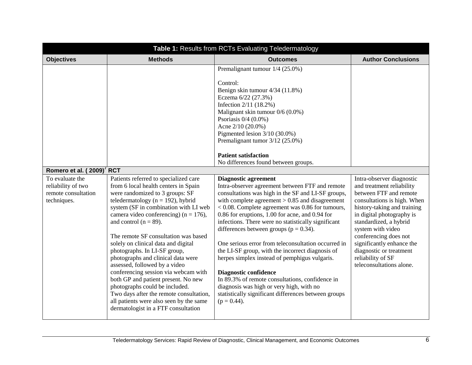| Table 1: Results from RCTs Evaluating Teledermatology                       |                                                                                                                                                                                                                                                                                                                                                                                                                                                                                                                                                                                                                                                                                                                  |                                                                                                                                                                                                                                                                                                                                                                                                                                                                                                                                                                                                                                                                                                                                                                        |                                                                                                                                                                                                                                                                                                                                                              |
|-----------------------------------------------------------------------------|------------------------------------------------------------------------------------------------------------------------------------------------------------------------------------------------------------------------------------------------------------------------------------------------------------------------------------------------------------------------------------------------------------------------------------------------------------------------------------------------------------------------------------------------------------------------------------------------------------------------------------------------------------------------------------------------------------------|------------------------------------------------------------------------------------------------------------------------------------------------------------------------------------------------------------------------------------------------------------------------------------------------------------------------------------------------------------------------------------------------------------------------------------------------------------------------------------------------------------------------------------------------------------------------------------------------------------------------------------------------------------------------------------------------------------------------------------------------------------------------|--------------------------------------------------------------------------------------------------------------------------------------------------------------------------------------------------------------------------------------------------------------------------------------------------------------------------------------------------------------|
| <b>Objectives</b>                                                           | <b>Methods</b>                                                                                                                                                                                                                                                                                                                                                                                                                                                                                                                                                                                                                                                                                                   | <b>Outcomes</b>                                                                                                                                                                                                                                                                                                                                                                                                                                                                                                                                                                                                                                                                                                                                                        | <b>Author Conclusions</b>                                                                                                                                                                                                                                                                                                                                    |
|                                                                             |                                                                                                                                                                                                                                                                                                                                                                                                                                                                                                                                                                                                                                                                                                                  | Premalignant tumour 1/4 (25.0%)<br>Control:<br>Benign skin tumour 4/34 (11.8%)<br>Eczema 6/22 (27.3%)<br>Infection 2/11 (18.2%)<br>Malignant skin tumour 0/6 (0.0%)<br>Psoriasis $0/4$ (0.0%)<br>Acne 2/10 (20.0%)<br>Pigmented lesion 3/10 (30.0%)<br>Premalignant tumor 3/12 (25.0%)<br><b>Patient satisfaction</b><br>No differences found between groups.                                                                                                                                                                                                                                                                                                                                                                                                          |                                                                                                                                                                                                                                                                                                                                                              |
| Romero et al. (2009) <sup>7</sup> RCT                                       |                                                                                                                                                                                                                                                                                                                                                                                                                                                                                                                                                                                                                                                                                                                  |                                                                                                                                                                                                                                                                                                                                                                                                                                                                                                                                                                                                                                                                                                                                                                        |                                                                                                                                                                                                                                                                                                                                                              |
| To evaluate the<br>reliability of two<br>remote consultation<br>techniques. | Patients referred to specialized care<br>from 6 local health centers in Spain<br>were randomized to 3 groups: SF<br>teledermatology ( $n = 192$ ), hybrid<br>system (SF in combination with LI web<br>camera video conferencing) ( $n = 176$ ),<br>and control ( $n = 89$ ).<br>The remote SF consultation was based<br>solely on clinical data and digital<br>photographs. In LI-SF group,<br>photographs and clinical data were<br>assessed, followed by a video<br>conferencing session via webcam with<br>both GP and patient present. No new<br>photographs could be included.<br>Two days after the remote consultation,<br>all patients were also seen by the same<br>dermatologist in a FTF consultation | <b>Diagnostic agreement</b><br>Intra-observer agreement between FTF and remote<br>consultations was high in the SF and LI-SF groups,<br>with complete agreement $> 0.85$ and disagreement<br>$< 0.08$ . Complete agreement was 0.86 for tumours,<br>0.86 for eruptions, 1.00 for acne, and 0.94 for<br>infections. There were no statistically significant<br>differences between groups ( $p = 0.34$ ).<br>One serious error from teleconsultation occurred in<br>the LI-SF group, with the incorrect diagnosis of<br>herpes simplex instead of pemphigus vulgaris.<br>Diagnostic confidence<br>In 89.3% of remote consultations, confidence in<br>diagnosis was high or very high, with no<br>statistically significant differences between groups<br>$(p = 0.44)$ . | Intra-observer diagnostic<br>and treatment reliability<br>between FTF and remote<br>consultations is high. When<br>history-taking and training<br>in digital photography is<br>standardized, a hybrid<br>system with video<br>conferencing does not<br>significantly enhance the<br>diagnostic or treatment<br>reliability of SF<br>teleconsultations alone. |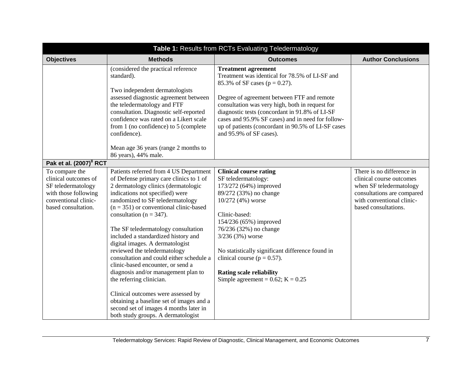| Table 1: Results from RCTs Evaluating Teledermatology                                                                               |                                                                                                                                                                                                                                                                                                                                                                                                                                                                                                                                                                                                                                                                                                                                                   |                                                                                                                                                                                                                                                                                                                                                                                                            |                                                                                                                                                                     |
|-------------------------------------------------------------------------------------------------------------------------------------|---------------------------------------------------------------------------------------------------------------------------------------------------------------------------------------------------------------------------------------------------------------------------------------------------------------------------------------------------------------------------------------------------------------------------------------------------------------------------------------------------------------------------------------------------------------------------------------------------------------------------------------------------------------------------------------------------------------------------------------------------|------------------------------------------------------------------------------------------------------------------------------------------------------------------------------------------------------------------------------------------------------------------------------------------------------------------------------------------------------------------------------------------------------------|---------------------------------------------------------------------------------------------------------------------------------------------------------------------|
| <b>Objectives</b>                                                                                                                   | <b>Methods</b>                                                                                                                                                                                                                                                                                                                                                                                                                                                                                                                                                                                                                                                                                                                                    | <b>Outcomes</b>                                                                                                                                                                                                                                                                                                                                                                                            | <b>Author Conclusions</b>                                                                                                                                           |
|                                                                                                                                     | (considered the practical reference<br>standard).<br>Two independent dermatologists<br>assessed diagnostic agreement between<br>the teledermatology and FTF<br>consultation. Diagnostic self-reported<br>confidence was rated on a Likert scale<br>from 1 (no confidence) to 5 (complete<br>confidence).<br>Mean age 36 years (range 2 months to<br>86 years), 44% male.                                                                                                                                                                                                                                                                                                                                                                          | <b>Treatment agreement</b><br>Treatment was identical for 78.5% of LI-SF and<br>85.3% of SF cases ( $p = 0.27$ ).<br>Degree of agreement between FTF and remote<br>consultation was very high, both in request for<br>diagnostic tests (concordant in 91.8% of LI-SF<br>cases and 95.9% SF cases) and in need for follow-<br>up of patients (concordant in 90.5% of LI-SF cases<br>and 95.9% of SF cases). |                                                                                                                                                                     |
| Pak et al. (2007) <sup>8</sup> RCT                                                                                                  |                                                                                                                                                                                                                                                                                                                                                                                                                                                                                                                                                                                                                                                                                                                                                   |                                                                                                                                                                                                                                                                                                                                                                                                            |                                                                                                                                                                     |
| To compare the<br>clinical outcomes of<br>SF teledermatology<br>with those following<br>conventional clinic-<br>based consultation. | Patients referred from 4 US Department<br>of Defense primary care clinics to 1 of<br>2 dermatology clinics (dermatologic<br>indications not specified) were<br>randomized to SF teledermatology<br>$(n = 351)$ or conventional clinic-based<br>consultation ( $n = 347$ ).<br>The SF teledermatology consultation<br>included a standardized history and<br>digital images. A dermatologist<br>reviewed the teledermatology<br>consultation and could either schedule a<br>clinic-based encounter, or send a<br>diagnosis and/or management plan to<br>the referring clinician.<br>Clinical outcomes were assessed by<br>obtaining a baseline set of images and a<br>second set of images 4 months later in<br>both study groups. A dermatologist | <b>Clinical course rating</b><br>SF teledermatology:<br>173/272 (64%) improved<br>89/272 (33%) no change<br>10/272 (4%) worse<br>Clinic-based:<br>154/236 (65%) improved<br>76/236 (32%) no change<br>$3/236(3%)$ worse<br>No statistically significant difference found in<br>clinical course ( $p = 0.57$ ).<br><b>Rating scale reliability</b><br>Simple agreement = $0.62$ ; K = $0.25$                | There is no difference in<br>clinical course outcomes<br>when SF teledermatology<br>consultations are compared<br>with conventional clinic-<br>based consultations. |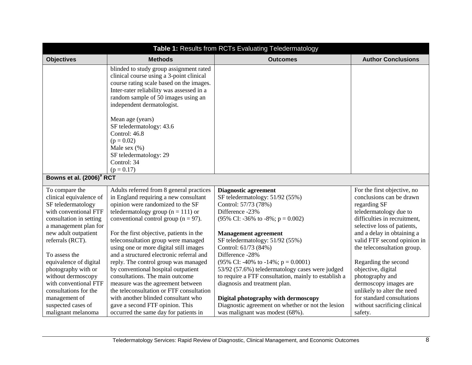| Table 1: Results from RCTs Evaluating Teledermatology                                                                                                                |                                                                                                                                                                                                                                                                                                                              |                                                                                                                                                                                                                                                                 |                                                                                                                                                                                                |
|----------------------------------------------------------------------------------------------------------------------------------------------------------------------|------------------------------------------------------------------------------------------------------------------------------------------------------------------------------------------------------------------------------------------------------------------------------------------------------------------------------|-----------------------------------------------------------------------------------------------------------------------------------------------------------------------------------------------------------------------------------------------------------------|------------------------------------------------------------------------------------------------------------------------------------------------------------------------------------------------|
| <b>Objectives</b>                                                                                                                                                    | <b>Methods</b>                                                                                                                                                                                                                                                                                                               | <b>Outcomes</b>                                                                                                                                                                                                                                                 | <b>Author Conclusions</b>                                                                                                                                                                      |
|                                                                                                                                                                      | blinded to study group assignment rated<br>clinical course using a 3-point clinical<br>course rating scale based on the images.<br>Inter-rater reliability was assessed in a<br>random sample of 50 images using an<br>independent dermatologist.                                                                            |                                                                                                                                                                                                                                                                 |                                                                                                                                                                                                |
|                                                                                                                                                                      | Mean age (years)<br>SF teledermatology: 43.6<br>Control: 46.8<br>$(p = 0.02)$<br>Male sex $(\% )$<br>SF teledermatology: 29<br>Control: 34<br>$(p = 0.17)$                                                                                                                                                                   |                                                                                                                                                                                                                                                                 |                                                                                                                                                                                                |
| Bowns et al. (2006) <sup>9</sup> RCT                                                                                                                                 |                                                                                                                                                                                                                                                                                                                              |                                                                                                                                                                                                                                                                 |                                                                                                                                                                                                |
| To compare the<br>clinical equivalence of<br>SF teledermatology<br>with conventional FTF<br>consultation in setting<br>a management plan for<br>new adult outpatient | Adults referred from 8 general practices<br>in England requiring a new consultant<br>opinion were randomized to the SF<br>teledermatology group ( $n = 111$ ) or<br>conventional control group ( $n = 97$ ).<br>For the first objective, patients in the                                                                     | <b>Diagnostic agreement</b><br>SF teledermatology: 51/92 (55%)<br>Control: 57/73 (78%)<br>Difference -23%<br>(95% CI: -36% to -8%; $p = 0.002$ )<br><b>Management agreement</b>                                                                                 | For the first objective, no<br>conclusions can be drawn<br>regarding SF<br>teledermatology due to<br>difficulties in recruitment,<br>selective loss of patients,<br>and a delay in obtaining a |
| referrals (RCT).<br>To assess the<br>equivalence of digital<br>photography with or<br>without dermoscopy<br>with conventional FTF<br>consultations for the           | teleconsultation group were managed<br>using one or more digital still images<br>and a structured electronic referral and<br>reply. The control group was managed<br>by conventional hospital outpatient<br>consultations. The main outcome<br>measure was the agreement between<br>the teleconsultation or FTF consultation | SF teledermatology: 51/92 (55%)<br>Control: 61/73 (84%)<br>Difference -28%<br>(95% CI: -40% to -14%; $p = 0.0001$ )<br>53/92 (57.6%) teledermatology cases were judged<br>to require a FTF consultation, mainly to establish a<br>diagnosis and treatment plan. | valid FTF second opinion in<br>the teleconsultation group.<br>Regarding the second<br>objective, digital<br>photography and<br>dermoscopy images are<br>unlikely to alter the need             |
| management of<br>suspected cases of<br>malignant melanoma                                                                                                            | with another blinded consultant who<br>gave a second FTF opinion. This<br>occurred the same day for patients in                                                                                                                                                                                                              | Digital photography with dermoscopy<br>Diagnostic agreement on whether or not the lesion<br>was malignant was modest (68%).                                                                                                                                     | for standard consultations<br>without sacrificing clinical<br>safety.                                                                                                                          |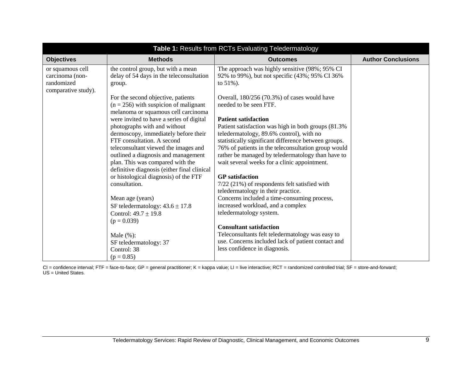| <b>Objectives</b>                                                        | <b>Methods</b>                                                                                                                                                                                                                                                                                                                                            | <b>Outcomes</b>                                                                                                                                                                                                                                                                                                                                                               | <b>Author Conclusions</b> |
|--------------------------------------------------------------------------|-----------------------------------------------------------------------------------------------------------------------------------------------------------------------------------------------------------------------------------------------------------------------------------------------------------------------------------------------------------|-------------------------------------------------------------------------------------------------------------------------------------------------------------------------------------------------------------------------------------------------------------------------------------------------------------------------------------------------------------------------------|---------------------------|
| or squamous cell<br>carcinoma (non-<br>randomized<br>comparative study). | the control group, but with a mean<br>delay of 54 days in the teleconsultation<br>group.                                                                                                                                                                                                                                                                  | The approach was highly sensitive (98%; 95% CI<br>92% to 99%), but not specific (43%; 95% CI 36%<br>to $51\%$ ).                                                                                                                                                                                                                                                              |                           |
|                                                                          | For the second objective, patients<br>$(n = 256)$ with suspicion of malignant<br>melanoma or squamous cell carcinoma                                                                                                                                                                                                                                      | Overall, 180/256 (70.3%) of cases would have<br>needed to be seen FTF.                                                                                                                                                                                                                                                                                                        |                           |
|                                                                          | were invited to have a series of digital<br>photographs with and without<br>dermoscopy, immediately before their<br>FTF consultation. A second<br>teleconsultant viewed the images and<br>outlined a diagnosis and management<br>plan. This was compared with the<br>definitive diagnosis (either final clinical<br>or histological diagnosis) of the FTF | <b>Patient satisfaction</b><br>Patient satisfaction was high in both groups (81.3%)<br>teledermatology, 89.6% control), with no<br>statistically significant difference between groups.<br>76% of patients in the teleconsultation group would<br>rather be managed by teledermatology than have to<br>wait several weeks for a clinic appointment.<br><b>GP</b> satisfaction |                           |
|                                                                          | consultation.                                                                                                                                                                                                                                                                                                                                             | $7/22$ (21%) of respondents felt satisfied with<br>teledermatology in their practice.                                                                                                                                                                                                                                                                                         |                           |
|                                                                          | Mean age (years)<br>SF teledermatology: $43.6 \pm 17.8$<br>Control: $49.7 \pm 19.8$                                                                                                                                                                                                                                                                       | Concerns included a time-consuming process,<br>increased workload, and a complex<br>teledermatology system.                                                                                                                                                                                                                                                                   |                           |
|                                                                          | $(p = 0.039)$                                                                                                                                                                                                                                                                                                                                             | <b>Consultant satisfaction</b>                                                                                                                                                                                                                                                                                                                                                |                           |
|                                                                          | Male $(\% )$ :<br>SF teledermatology: 37<br>Control: 38                                                                                                                                                                                                                                                                                                   | Teleconsultants felt teledermatology was easy to<br>use. Concerns included lack of patient contact and<br>less confidence in diagnosis.                                                                                                                                                                                                                                       |                           |
|                                                                          | $(p = 0.85)$                                                                                                                                                                                                                                                                                                                                              |                                                                                                                                                                                                                                                                                                                                                                               |                           |

CI = confidence interval; FTF = face-to-face; GP = general practitioner; K = kappa value; LI = live interactive; RCT = randomized controlled trial; SF = store-and-forward; US = United States.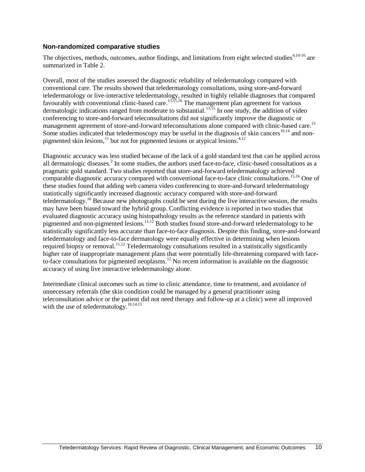#### **Non-randomized comparative studies**

The objectives, methods, outcomes, author findings, and limitations from eight selected studies<sup>4,10-16</sup> are summarized in Table 2.

Overall, most of the studies assessed the diagnostic reliability of teledermatology compared with conventional care. The results showed that teledermatology consultations, using store-and-forward teledermatology or live-interactive teledermatology, resulted in highly reliable diagnoses that compared favourably with conventional clinic-based care.<sup>13,15,16</sup> The management plan agreement for various dermatologic indications ranged from moderate to substantial.<sup>13,15</sup> In one study, the addition of video conferencing to store-and-forward teleconsultations did not significantly improve the diagnostic or management agreement of store-and-forward teleconsultations alone compared with clinic-based care.<sup>13</sup> Some studies indicated that teledermoscopy may be useful in the diagnosis of skin cancers<sup>10,14</sup> and nonpigmented skin lesions, $^{11}$  but not for pigmented lesions or atypical lesions.<sup>4,12</sup>

Diagnostic accuracy was less studied because of the lack of a gold standard test that can be applied across all dermatologic diseases.<sup>3</sup> In some studies, the authors used face-to-face, clinic-based consultations as a pragmatic gold standard. Two studies reported that store-and-forward teledermatology achieved comparable diagnostic accuracy compared with conventional face-to-face clinic consultations.<sup>15,16</sup> One of these studies found that adding web camera video conferencing to store-and-forward teledermatology statistically significantly increased diagnostic accuracy compared with store-and-forward teledermatology.<sup>16</sup> Because new photographs could be sent during the live interactive session, the results may have been biased toward the hybrid group. Conflicting evidence is reported in two studies that evaluated diagnostic accuracy using histopathology results as the reference standard in patients with pigmented and non-pigmented lesions.11,12 Both studies found store-and-forward teledermatology to be statistically significantly less accurate than face-to-face diagnosis. Despite this finding, store-and-forward teledermatology and face-to-face dermatology were equally effective in determining when lesions required biopsy or removal.<sup>11,12</sup> Teledermatology consultations resulted in a statistically significantly higher rate of inappropriate management plans that were potentially life-threatening compared with faceto-face consultations for pigmented neoplasms.<sup>12</sup> No recent information is available on the diagnostic accuracy of using live interactive teledermatology alone.

Intermediate clinical outcomes such as time to clinic attendance, time to treatment, and avoidance of unnecessary referrals (the skin condition could be managed by a general practitioner using teleconsultation advice or the patient did not need therapy and follow-up at a clinic) were all improved with the use of teledermatology.<sup>10,14,15</sup>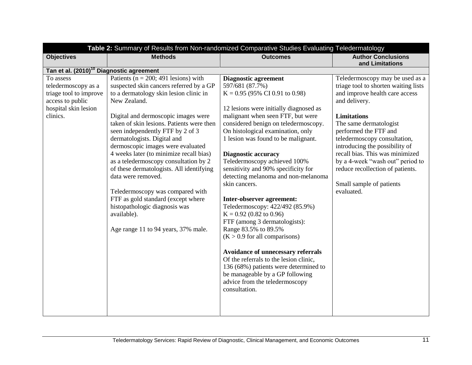| <b>Author Conclusions</b><br><b>Methods</b><br><b>Outcomes</b><br><b>Objectives</b><br>and Limitations<br>Tan et al. (2010) <sup>10</sup> Diagnostic agreement<br>Patients ( $n = 200$ ; 491 lesions) with<br>To assess<br><b>Diagnostic agreement</b><br>suspected skin cancers referred by a GP<br>597/681 (87.7%)<br>teledermoscopy as a<br>to a dermatology skin lesion clinic in<br>triage tool to improve<br>$K = 0.95$ (95% CI 0.91 to 0.98)<br>access to public<br>New Zealand.<br>and delivery.<br>hospital skin lesion<br>12 lesions were initially diagnosed as<br>clinics.<br>Digital and dermoscopic images were<br>malignant when seen FTF, but were<br><b>Limitations</b><br>taken of skin lesions. Patients were then<br>considered benign on teledermoscopy.<br>The same dermatologist<br>On histological examination, only<br>seen independently FTF by 2 of 3<br>performed the FTF and<br>dermatologists. Digital and<br>1 lesion was found to be malignant.<br>teledermoscopy consultation,<br>dermoscopic images were evaluated<br>introducing the possibility of<br>4 weeks later (to minimize recall bias)<br><b>Diagnostic accuracy</b><br>as a teledermoscopy consultation by 2<br>Teledermoscopy achieved 100%<br>of these dermatologists. All identifying<br>sensitivity and 90% specificity for<br>detecting melanoma and non-melanoma<br>data were removed.<br>skin cancers.<br>Small sample of patients<br>evaluated.<br>Teledermoscopy was compared with<br>FTF as gold standard (except where<br>Inter-observer agreement:<br>histopathologic diagnosis was<br>Teledermoscopy: 422/492 (85.9%)<br>available).<br>$K = 0.92$ (0.82 to 0.96)<br>FTF (among 3 dermatologists):<br>Range 83.5% to 89.5%<br>Age range 11 to 94 years, 37% male.<br>$(K > 0.9$ for all comparisons)<br>Avoidance of unnecessary referrals<br>Of the referrals to the lesion clinic, | Table 2: Summary of Results from Non-randomized Comparative Studies Evaluating Teledermatology |  |                                       |                                                                                                                                                                                                                      |
|-----------------------------------------------------------------------------------------------------------------------------------------------------------------------------------------------------------------------------------------------------------------------------------------------------------------------------------------------------------------------------------------------------------------------------------------------------------------------------------------------------------------------------------------------------------------------------------------------------------------------------------------------------------------------------------------------------------------------------------------------------------------------------------------------------------------------------------------------------------------------------------------------------------------------------------------------------------------------------------------------------------------------------------------------------------------------------------------------------------------------------------------------------------------------------------------------------------------------------------------------------------------------------------------------------------------------------------------------------------------------------------------------------------------------------------------------------------------------------------------------------------------------------------------------------------------------------------------------------------------------------------------------------------------------------------------------------------------------------------------------------------------------------------------------------------------------------------------------------------------------------------------------|------------------------------------------------------------------------------------------------|--|---------------------------------------|----------------------------------------------------------------------------------------------------------------------------------------------------------------------------------------------------------------------|
|                                                                                                                                                                                                                                                                                                                                                                                                                                                                                                                                                                                                                                                                                                                                                                                                                                                                                                                                                                                                                                                                                                                                                                                                                                                                                                                                                                                                                                                                                                                                                                                                                                                                                                                                                                                                                                                                                               |                                                                                                |  |                                       |                                                                                                                                                                                                                      |
|                                                                                                                                                                                                                                                                                                                                                                                                                                                                                                                                                                                                                                                                                                                                                                                                                                                                                                                                                                                                                                                                                                                                                                                                                                                                                                                                                                                                                                                                                                                                                                                                                                                                                                                                                                                                                                                                                               |                                                                                                |  |                                       |                                                                                                                                                                                                                      |
| be manageable by a GP following<br>advice from the teledermoscopy<br>consultation.                                                                                                                                                                                                                                                                                                                                                                                                                                                                                                                                                                                                                                                                                                                                                                                                                                                                                                                                                                                                                                                                                                                                                                                                                                                                                                                                                                                                                                                                                                                                                                                                                                                                                                                                                                                                            |                                                                                                |  | 136 (68%) patients were determined to | Teledermoscopy may be used as a<br>triage tool to shorten waiting lists<br>and improve health care access<br>recall bias. This was minimized<br>by a 4-week "wash out" period to<br>reduce recollection of patients. |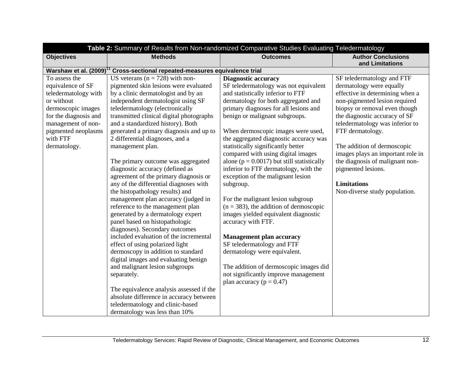|                                                                                                                                                                                                  |                                                                                                                                                                                                                                                                                                                                                                                                                                                                                                                                                                                                                                                                                                                                                                                                                                                                                                                                                                                                                                                                       | Table 2: Summary of Results from Non-randomized Comparative Studies Evaluating Teledermatology                                                                                                                                                                                                                                                                                                                                                                                                                                                                                                                                                                                                                                                                                                                                                                                                         |                                                                                                                                                                                                                                                                                                                                                                                                                                         |
|--------------------------------------------------------------------------------------------------------------------------------------------------------------------------------------------------|-----------------------------------------------------------------------------------------------------------------------------------------------------------------------------------------------------------------------------------------------------------------------------------------------------------------------------------------------------------------------------------------------------------------------------------------------------------------------------------------------------------------------------------------------------------------------------------------------------------------------------------------------------------------------------------------------------------------------------------------------------------------------------------------------------------------------------------------------------------------------------------------------------------------------------------------------------------------------------------------------------------------------------------------------------------------------|--------------------------------------------------------------------------------------------------------------------------------------------------------------------------------------------------------------------------------------------------------------------------------------------------------------------------------------------------------------------------------------------------------------------------------------------------------------------------------------------------------------------------------------------------------------------------------------------------------------------------------------------------------------------------------------------------------------------------------------------------------------------------------------------------------------------------------------------------------------------------------------------------------|-----------------------------------------------------------------------------------------------------------------------------------------------------------------------------------------------------------------------------------------------------------------------------------------------------------------------------------------------------------------------------------------------------------------------------------------|
| <b>Objectives</b>                                                                                                                                                                                | <b>Methods</b>                                                                                                                                                                                                                                                                                                                                                                                                                                                                                                                                                                                                                                                                                                                                                                                                                                                                                                                                                                                                                                                        | <b>Outcomes</b>                                                                                                                                                                                                                                                                                                                                                                                                                                                                                                                                                                                                                                                                                                                                                                                                                                                                                        | <b>Author Conclusions</b><br>and Limitations                                                                                                                                                                                                                                                                                                                                                                                            |
| Warshaw et al. $(2009)^{17}$                                                                                                                                                                     | Cross-sectional repeated-measures equivalence trial                                                                                                                                                                                                                                                                                                                                                                                                                                                                                                                                                                                                                                                                                                                                                                                                                                                                                                                                                                                                                   |                                                                                                                                                                                                                                                                                                                                                                                                                                                                                                                                                                                                                                                                                                                                                                                                                                                                                                        |                                                                                                                                                                                                                                                                                                                                                                                                                                         |
| To assess the<br>equivalence of SF<br>teledermatology with<br>or without<br>dermoscopic images<br>for the diagnosis and<br>management of non-<br>pigmented neoplasms<br>with FTF<br>dermatology. | US veterans ( $n = 728$ ) with non-<br>pigmented skin lesions were evaluated<br>by a clinic dermatologist and by an<br>independent dermatologist using SF<br>teledermatology (electronically<br>transmitted clinical digital photographs<br>and a standardized history). Both<br>generated a primary diagnosis and up to<br>2 differential diagnoses, and a<br>management plan.<br>The primary outcome was aggregated<br>diagnostic accuracy (defined as<br>agreement of the primary diagnosis or<br>any of the differential diagnoses with<br>the histopathology results) and<br>management plan accuracy (judged in<br>reference to the management plan<br>generated by a dermatology expert<br>panel based on histopathologic<br>diagnoses). Secondary outcomes<br>included evaluation of the incremental<br>effect of using polarized light<br>dermoscopy in addition to standard<br>digital images and evaluating benign<br>and malignant lesion subgroups<br>separately.<br>The equivalence analysis assessed if the<br>absolute difference in accuracy between | <b>Diagnostic accuracy</b><br>SF teledermatology was not equivalent<br>and statistically inferior to FTF<br>dermatology for both aggregated and<br>primary diagnoses for all lesions and<br>benign or malignant subgroups.<br>When dermoscopic images were used,<br>the aggregated diagnostic accuracy was<br>statistically significantly better<br>compared with using digital images<br>alone ( $p = 0.0017$ ) but still statistically<br>inferior to FTF dermatology, with the<br>exception of the malignant lesion<br>subgroup.<br>For the malignant lesion subgroup<br>$(n = 383)$ , the addition of dermoscopic<br>images yielded equivalent diagnostic<br>accuracy with FTF.<br><b>Management plan accuracy</b><br>SF teledermatology and FTF<br>dermatology were equivalent.<br>The addition of dermoscopic images did<br>not significantly improve management<br>plan accuracy ( $p = 0.47$ ) | SF teledermatology and FTF<br>dermatology were equally<br>effective in determining when a<br>non-pigmented lesion required<br>biopsy or removal even though<br>the diagnostic accuracy of SF<br>teledermatology was inferior to<br>FTF dermatology.<br>The addition of dermoscopic<br>images plays an important role in<br>the diagnosis of malignant non-<br>pigmented lesions.<br><b>Limitations</b><br>Non-diverse study population. |
|                                                                                                                                                                                                  | teledermatology and clinic-based<br>dermatology was less than 10%                                                                                                                                                                                                                                                                                                                                                                                                                                                                                                                                                                                                                                                                                                                                                                                                                                                                                                                                                                                                     |                                                                                                                                                                                                                                                                                                                                                                                                                                                                                                                                                                                                                                                                                                                                                                                                                                                                                                        |                                                                                                                                                                                                                                                                                                                                                                                                                                         |
|                                                                                                                                                                                                  |                                                                                                                                                                                                                                                                                                                                                                                                                                                                                                                                                                                                                                                                                                                                                                                                                                                                                                                                                                                                                                                                       |                                                                                                                                                                                                                                                                                                                                                                                                                                                                                                                                                                                                                                                                                                                                                                                                                                                                                                        |                                                                                                                                                                                                                                                                                                                                                                                                                                         |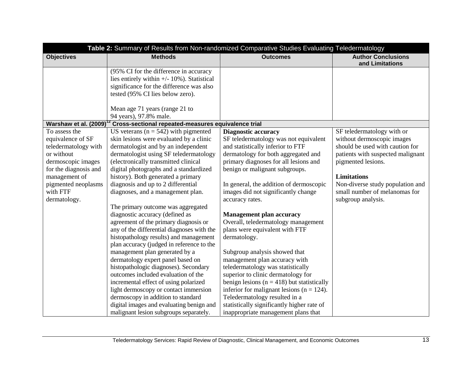|                                 | Table 2: Summary of Results from Non-randomized Comparative Studies Evaluating Teledermatology |                                                                                |                                                                   |
|---------------------------------|------------------------------------------------------------------------------------------------|--------------------------------------------------------------------------------|-------------------------------------------------------------------|
| <b>Objectives</b>               | <b>Methods</b>                                                                                 | <b>Outcomes</b>                                                                | <b>Author Conclusions</b><br>and Limitations                      |
|                                 | (95% CI for the difference in accuracy                                                         |                                                                                |                                                                   |
|                                 | lies entirely within $+/- 10\%$ ). Statistical                                                 |                                                                                |                                                                   |
|                                 | significance for the difference was also                                                       |                                                                                |                                                                   |
|                                 | tested (95% CI lies below zero).                                                               |                                                                                |                                                                   |
|                                 | Mean age 71 years (range 21 to                                                                 |                                                                                |                                                                   |
|                                 | 94 years), 97.8% male.                                                                         |                                                                                |                                                                   |
| Warshaw et al. (2009)           | $\frac{2}{3}$ Cross-sectional repeated-measures equivalence trial                              |                                                                                |                                                                   |
| To assess the                   | US veterans ( $n = 542$ ) with pigmented                                                       | <b>Diagnostic accuracy</b>                                                     | SF teledermatology with or                                        |
| equivalence of SF               | skin lesions were evaluated by a clinic                                                        | SF teledermatology was not equivalent                                          | without dermoscopic images                                        |
| teledermatology with            | dermatologist and by an independent                                                            | and statistically inferior to FTF                                              | should be used with caution for                                   |
| or without                      | dermatologist using SF teledermatology                                                         | dermatology for both aggregated and                                            | patients with suspected malignant                                 |
| dermoscopic images              | (electronically transmitted clinical                                                           | primary diagnoses for all lesions and                                          | pigmented lesions.                                                |
| for the diagnosis and           | digital photographs and a standardized                                                         | benign or malignant subgroups.                                                 |                                                                   |
| management of                   | history). Both generated a primary                                                             |                                                                                | <b>Limitations</b>                                                |
| pigmented neoplasms<br>with FTF | diagnosis and up to 2 differential<br>diagnoses, and a management plan.                        | In general, the addition of dermoscopic<br>images did not significantly change | Non-diverse study population and<br>small number of melanomas for |
| dermatology.                    |                                                                                                | accuracy rates.                                                                | subgroup analysis.                                                |
|                                 | The primary outcome was aggregated                                                             |                                                                                |                                                                   |
|                                 | diagnostic accuracy (defined as                                                                | <b>Management plan accuracy</b>                                                |                                                                   |
|                                 | agreement of the primary diagnosis or                                                          | Overall, teledermatology management                                            |                                                                   |
|                                 | any of the differential diagnoses with the                                                     | plans were equivalent with FTF                                                 |                                                                   |
|                                 | histopathology results) and management                                                         | dermatology.                                                                   |                                                                   |
|                                 | plan accuracy (judged in reference to the                                                      |                                                                                |                                                                   |
|                                 | management plan generated by a                                                                 | Subgroup analysis showed that                                                  |                                                                   |
|                                 | dermatology expert panel based on                                                              | management plan accuracy with                                                  |                                                                   |
|                                 | histopathologic diagnoses). Secondary                                                          | teledermatology was statistically                                              |                                                                   |
|                                 | outcomes included evaluation of the                                                            | superior to clinic dermatology for                                             |                                                                   |
|                                 | incremental effect of using polarized                                                          | benign lesions ( $n = 418$ ) but statistically                                 |                                                                   |
|                                 | light dermoscopy or contact immersion                                                          | inferior for malignant lesions ( $n = 124$ ).                                  |                                                                   |
|                                 | dermoscopy in addition to standard                                                             | Teledermatology resulted in a                                                  |                                                                   |
|                                 | digital images and evaluating benign and                                                       | statistically significantly higher rate of                                     |                                                                   |
|                                 | malignant lesion subgroups separately.                                                         | inappropriate management plans that                                            |                                                                   |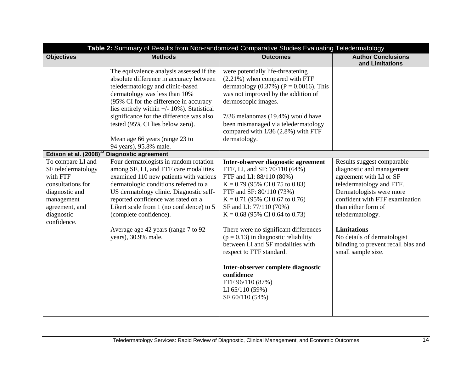| Table 2: Summary of Results from Non-randomized Comparative Studies Evaluating Teledermatology                                                                                         |                                                                                                                                                                                                                                                                                                                                                                                                                         |                                                                                                                                                                                                                                                                                                                                                                                                                                                                                                                                        |                                                                                                                                                                                                                                                                                                                                           |
|----------------------------------------------------------------------------------------------------------------------------------------------------------------------------------------|-------------------------------------------------------------------------------------------------------------------------------------------------------------------------------------------------------------------------------------------------------------------------------------------------------------------------------------------------------------------------------------------------------------------------|----------------------------------------------------------------------------------------------------------------------------------------------------------------------------------------------------------------------------------------------------------------------------------------------------------------------------------------------------------------------------------------------------------------------------------------------------------------------------------------------------------------------------------------|-------------------------------------------------------------------------------------------------------------------------------------------------------------------------------------------------------------------------------------------------------------------------------------------------------------------------------------------|
| <b>Objectives</b>                                                                                                                                                                      | <b>Methods</b>                                                                                                                                                                                                                                                                                                                                                                                                          | <b>Outcomes</b>                                                                                                                                                                                                                                                                                                                                                                                                                                                                                                                        | <b>Author Conclusions</b><br>and Limitations                                                                                                                                                                                                                                                                                              |
|                                                                                                                                                                                        | The equivalence analysis assessed if the<br>absolute difference in accuracy between<br>teledermatology and clinic-based<br>dermatology was less than 10%<br>(95% CI for the difference in accuracy<br>lies entirely within +/- 10%). Statistical<br>significance for the difference was also<br>tested (95% CI lies below zero).<br>Mean age 66 years (range 23 to                                                      | were potentially life-threatening<br>$(2.21\%)$ when compared with FTF<br>dermatology $(0.37%) (P = 0.0016)$ . This<br>was not improved by the addition of<br>dermoscopic images.<br>7/36 melanomas (19.4%) would have<br>been mismanaged via teledermatology<br>compared with 1/36 (2.8%) with FTF<br>dermatology.                                                                                                                                                                                                                    |                                                                                                                                                                                                                                                                                                                                           |
|                                                                                                                                                                                        | 94 years), 95.8% male.                                                                                                                                                                                                                                                                                                                                                                                                  |                                                                                                                                                                                                                                                                                                                                                                                                                                                                                                                                        |                                                                                                                                                                                                                                                                                                                                           |
| Edison et al. $(2008)^{13}$<br>To compare LI and<br>SF teledermatology<br>with FTF<br>consultations for<br>diagnostic and<br>management<br>agreement, and<br>diagnostic<br>confidence. | <b>Diagnostic agreement</b><br>Four dermatologists in random rotation<br>among SF, LI, and FTF care modalities<br>examined 110 new patients with various<br>dermatologic conditions referred to a<br>US dermatology clinic. Diagnostic self-<br>reported confidence was rated on a<br>Likert scale from 1 (no confidence) to 5<br>(complete confidence).<br>Average age 42 years (range 7 to 92)<br>years), 30.9% male. | Inter-observer diagnostic agreement<br>FTF, LI, and SF: 70/110 (64%)<br>FTF and LI: 88/110 (80%)<br>$K = 0.79$ (95% CI 0.75 to 0.83)<br>FTF and SF: 80/110 (73%)<br>$K = 0.71$ (95% CI 0.67 to 0.76)<br>SF and LI: 77/110 (70%)<br>$K = 0.68$ (95% CI 0.64 to 0.73)<br>There were no significant differences<br>$(p = 0.13)$ in diagnostic reliability<br>between LI and SF modalities with<br>respect to FTF standard.<br>Inter-observer complete diagnostic<br>confidence<br>FTF 96/110 (87%)<br>LI $65/110(59%)$<br>SF 60/110 (54%) | Results suggest comparable<br>diagnostic and management<br>agreement with LI or SF<br>teledermatology and FTF.<br>Dermatologists were more<br>confident with FTF examination<br>than either form of<br>teledermatology.<br><b>Limitations</b><br>No details of dermatologist<br>blinding to prevent recall bias and<br>small sample size. |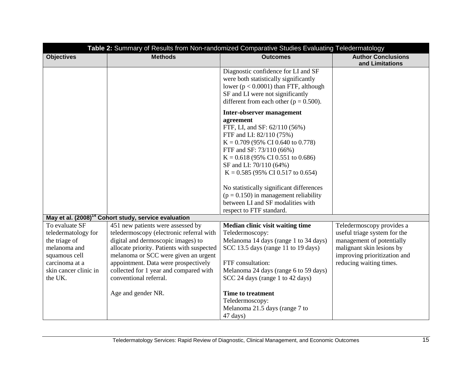| Table 2: Summary of Results from Non-randomized Comparative Studies Evaluating Teledermatology                                                |                                                                                                                                                                                                                                                                                                                       |                                                                                                                                                                                                                                                                                                                                                                                                                                         |                                                                                                                                                                                |
|-----------------------------------------------------------------------------------------------------------------------------------------------|-----------------------------------------------------------------------------------------------------------------------------------------------------------------------------------------------------------------------------------------------------------------------------------------------------------------------|-----------------------------------------------------------------------------------------------------------------------------------------------------------------------------------------------------------------------------------------------------------------------------------------------------------------------------------------------------------------------------------------------------------------------------------------|--------------------------------------------------------------------------------------------------------------------------------------------------------------------------------|
| <b>Objectives</b>                                                                                                                             | <b>Methods</b>                                                                                                                                                                                                                                                                                                        | <b>Outcomes</b>                                                                                                                                                                                                                                                                                                                                                                                                                         | <b>Author Conclusions</b><br>and Limitations                                                                                                                                   |
|                                                                                                                                               |                                                                                                                                                                                                                                                                                                                       | Diagnostic confidence for LI and SF<br>were both statistically significantly<br>lower ( $p < 0.0001$ ) than FTF, although<br>SF and LI were not significantly<br>different from each other ( $p = 0.500$ ).                                                                                                                                                                                                                             |                                                                                                                                                                                |
|                                                                                                                                               |                                                                                                                                                                                                                                                                                                                       | Inter-observer management<br>agreement<br>FTF, LI, and SF: 62/110 (56%)<br>FTF and LI: 82/110 (75%)<br>$K = 0.709$ (95% CI 0.640 to 0.778)<br>FTF and SF: 73/110 (66%)<br>$K = 0.618$ (95% CI 0.551 to 0.686)<br>SF and LI: 70/110 (64%)<br>$K = 0.585$ (95% CI 0.517 to 0.654)<br>No statistically significant differences<br>$(p = 0.150)$ in management reliability<br>between LI and SF modalities with<br>respect to FTF standard. |                                                                                                                                                                                |
| May et al. (2008) <sup>14</sup>                                                                                                               | <b>Cohort study, service evaluation</b>                                                                                                                                                                                                                                                                               |                                                                                                                                                                                                                                                                                                                                                                                                                                         |                                                                                                                                                                                |
| To evaluate SF<br>teledermatology for<br>the triage of<br>melanoma and<br>squamous cell<br>carcinoma at a<br>skin cancer clinic in<br>the UK. | 451 new patients were assessed by<br>teledermoscopy (electronic referral with<br>digital and dermoscopic images) to<br>allocate priority. Patients with suspected<br>melanoma or SCC were given an urgent<br>appointment. Data were prospectively<br>collected for 1 year and compared with<br>conventional referral. | Median clinic visit waiting time<br>Teledermoscopy:<br>Melanoma 14 days (range 1 to 34 days)<br>SCC 13.5 days (range 11 to 19 days)<br>FTF consultation:<br>Melanoma 24 days (range 6 to 59 days)<br>SCC 24 days (range 1 to 42 days)                                                                                                                                                                                                   | Teledermoscopy provides a<br>useful triage system for the<br>management of potentially<br>malignant skin lesions by<br>improving prioritization and<br>reducing waiting times. |
|                                                                                                                                               | Age and gender NR.                                                                                                                                                                                                                                                                                                    | <b>Time to treatment</b><br>Teledermoscopy:<br>Melanoma 21.5 days (range 7 to<br>47 days)                                                                                                                                                                                                                                                                                                                                               |                                                                                                                                                                                |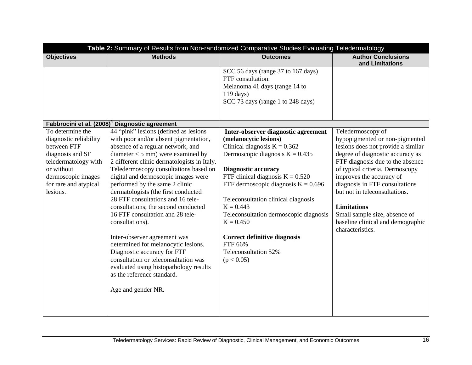| Table 2: Summary of Results from Non-randomized Comparative Studies Evaluating Teledermatology                                                                                 |                                                                                                                                                                                                                                                                                                                                                                                                                                                                                                                                                                                                                                                                                                                                                   |                                                                                                                                                                                                                                                                                                                                                                                                                                                         |                                                                                                                                                                                                                                                                                                                                                                                                                     |
|--------------------------------------------------------------------------------------------------------------------------------------------------------------------------------|---------------------------------------------------------------------------------------------------------------------------------------------------------------------------------------------------------------------------------------------------------------------------------------------------------------------------------------------------------------------------------------------------------------------------------------------------------------------------------------------------------------------------------------------------------------------------------------------------------------------------------------------------------------------------------------------------------------------------------------------------|---------------------------------------------------------------------------------------------------------------------------------------------------------------------------------------------------------------------------------------------------------------------------------------------------------------------------------------------------------------------------------------------------------------------------------------------------------|---------------------------------------------------------------------------------------------------------------------------------------------------------------------------------------------------------------------------------------------------------------------------------------------------------------------------------------------------------------------------------------------------------------------|
| <b>Objectives</b>                                                                                                                                                              | <b>Methods</b>                                                                                                                                                                                                                                                                                                                                                                                                                                                                                                                                                                                                                                                                                                                                    | <b>Outcomes</b>                                                                                                                                                                                                                                                                                                                                                                                                                                         | <b>Author Conclusions</b><br>and Limitations                                                                                                                                                                                                                                                                                                                                                                        |
|                                                                                                                                                                                |                                                                                                                                                                                                                                                                                                                                                                                                                                                                                                                                                                                                                                                                                                                                                   | SCC 56 days (range 37 to 167 days)<br>FTF consultation:<br>Melanoma 41 days (range 14 to<br>$119 \text{ days}$ )<br>SCC 73 days (range 1 to 248 days)                                                                                                                                                                                                                                                                                                   |                                                                                                                                                                                                                                                                                                                                                                                                                     |
|                                                                                                                                                                                | Fabbrocini et al. (2008) <sup>4</sup> Diagnostic agreement                                                                                                                                                                                                                                                                                                                                                                                                                                                                                                                                                                                                                                                                                        |                                                                                                                                                                                                                                                                                                                                                                                                                                                         |                                                                                                                                                                                                                                                                                                                                                                                                                     |
| To determine the<br>diagnostic reliability<br>between FTF<br>diagnosis and SF<br>teledermatology with<br>or without<br>dermoscopic images<br>for rare and atypical<br>lesions. | 44 "pink" lesions (defined as lesions<br>with poor and/or absent pigmentation,<br>absence of a regular network, and<br>$diameter < 5$ mm) were examined by<br>2 different clinic dermatologists in Italy.<br>Teledermoscopy consultations based on<br>digital and dermoscopic images were<br>performed by the same 2 clinic<br>dermatologists (the first conducted<br>28 FTF consultations and 16 tele-<br>consultations; the second conducted<br>16 FTF consultation and 28 tele-<br>consultations).<br>Inter-observer agreement was<br>determined for melanocytic lesions.<br>Diagnostic accuracy for FTF<br>consultation or teleconsultation was<br>evaluated using histopathology results<br>as the reference standard.<br>Age and gender NR. | Inter-observer diagnostic agreement<br>(melanocytic lesions)<br>Clinical diagnosis $K = 0.362$<br>Dermoscopic diagnosis $K = 0.435$<br><b>Diagnostic accuracy</b><br>FTF clinical diagnosis $K = 0.520$<br>FTF dermoscopic diagnosis $K = 0.696$<br>Teleconsultation clinical diagnosis<br>$K = 0.443$<br>Teleconsultation dermoscopic diagnosis<br>$K = 0.450$<br><b>Correct definitive diagnosis</b><br>FTF 66%<br>Teleconsultation 52%<br>(p < 0.05) | Teledermoscopy of<br>hypopigmented or non-pigmented<br>lesions does not provide a similar<br>degree of diagnostic accuracy as<br>FTF diagnosis due to the absence<br>of typical criteria. Dermoscopy<br>improves the accuracy of<br>diagnosis in FTF consultations<br>but not in teleconsultations.<br><b>Limitations</b><br>Small sample size, absence of<br>baseline clinical and demographic<br>characteristics. |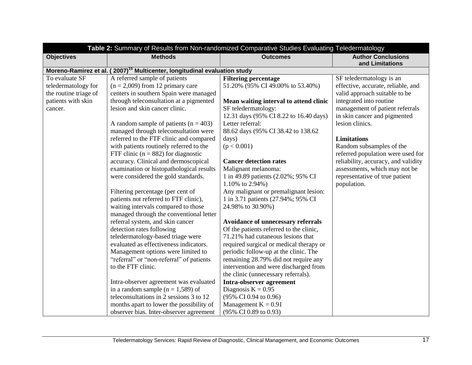|                         | Table 2: Summary of Results from Non-randomized Comparative Studies Evaluating Teledermatology |                                         |                                              |
|-------------------------|------------------------------------------------------------------------------------------------|-----------------------------------------|----------------------------------------------|
| <b>Objectives</b>       | <b>Methods</b>                                                                                 | <b>Outcomes</b>                         | <b>Author Conclusions</b><br>and Limitations |
| Moreno-Ramirez et al. ( | 2007) <sup>15</sup> Multicenter, longitudinal evaluation study                                 |                                         |                                              |
| To evaluate SF          | A referred sample of patients                                                                  | <b>Filtering percentage</b>             | SF teledermatology is an                     |
| teledermatology for     | $(n = 2,009)$ from 12 primary care                                                             | 51.20% (95% CI 49.00% to 53.40%)        | effective, accurate, reliable, and           |
| the routine triage of   | centers in southern Spain were managed                                                         |                                         | valid approach suitable to be                |
| patients with skin      | through teleconsultation at a pigmented                                                        | Mean waiting interval to attend clinic  | integrated into routine                      |
| cancer.                 | lesion and skin cancer clinic.                                                                 | SF teledermatology:                     | management of patient referrals              |
|                         |                                                                                                | 12.31 days (95% CI 8.22 to 16.40 days)  | in skin cancer and pigmented                 |
|                         | A random sample of patients ( $n = 403$ )                                                      | Letter referral:                        | lesion clinics.                              |
|                         | managed through teleconsultation were                                                          | 88.62 days (95% CI 38.42 to 138.62)     |                                              |
|                         | referred to the FTF clinic and compared                                                        | days)                                   | <b>Limitations</b>                           |
|                         | with patients routinely referred to the                                                        | (p < 0.001)                             | Random subsamples of the                     |
|                         | FTF clinic ( $n = 882$ ) for diagnostic                                                        |                                         | referred population were used for            |
|                         | accuracy. Clinical and dermoscopical                                                           | <b>Cancer detection rates</b>           | reliability, accuracy, and validity          |
|                         | examination or histopathological results                                                       | Malignant melanoma:                     | assessments, which may not be                |
|                         | were considered the gold standards.                                                            | 1 in 49.89 patients (2.02%; 95% CI      | representative of true patient               |
|                         |                                                                                                | 1.10% to 2.94%)                         | population.                                  |
|                         | Filtering percentage (per cent of                                                              | Any malignant or premalignant lesion:   |                                              |
|                         | patients not referred to FTF clinic),                                                          | 1 in 3.71 patients (27.94%; 95% CI      |                                              |
|                         | waiting intervals compared to those                                                            | 24.98% to 30.90%)                       |                                              |
|                         | managed through the conventional letter                                                        |                                         |                                              |
|                         | referral system, and skin cancer                                                               | Avoidance of unnecessary referrals      |                                              |
|                         | detection rates following                                                                      | Of the patients referred to the clinic, |                                              |
|                         | teledermatology-based triage were                                                              | 71.21% had cutaneous lesions that       |                                              |
|                         | evaluated as effectiveness indicators.                                                         | required surgical or medical therapy or |                                              |
|                         | Management options were limited to                                                             | periodic follow-up at the clinic. The   |                                              |
|                         | "referral" or "non-referral" of patients                                                       | remaining 28.79% did not require any    |                                              |
|                         | to the FTF clinic.                                                                             | intervention and were discharged from   |                                              |
|                         |                                                                                                | the clinic (unnecessary referrals).     |                                              |
|                         | Intra-observer agreement was evaluated                                                         | Intra-observer agreement                |                                              |
|                         | in a random sample $(n = 1,589)$ of                                                            | Diagnosis $K = 0.95$                    |                                              |
|                         | teleconsultations in 2 sessions 3 to 12                                                        | (95% CI 0.94 to 0.96)                   |                                              |
|                         | months apart to lower the possibility of                                                       | Management $K = 0.91$                   |                                              |
|                         | observer bias. Inter-observer agreement                                                        | (95% CI 0.89 to 0.93)                   |                                              |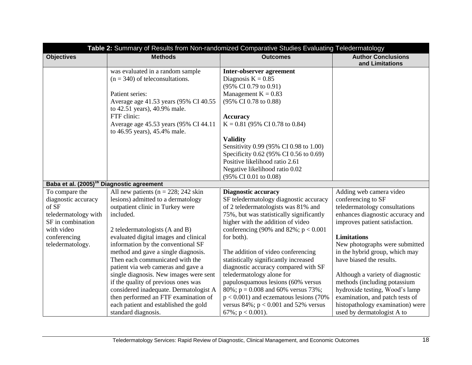|                                                       | Table 2: Summary of Results from Non-randomized Comparative Studies Evaluating Teledermatology |                                            |                                              |  |
|-------------------------------------------------------|------------------------------------------------------------------------------------------------|--------------------------------------------|----------------------------------------------|--|
| <b>Objectives</b>                                     | <b>Methods</b>                                                                                 | <b>Outcomes</b>                            | <b>Author Conclusions</b><br>and Limitations |  |
|                                                       | was evaluated in a random sample                                                               | Inter-observer agreement                   |                                              |  |
|                                                       | $(n = 340)$ of teleconsultations.                                                              | Diagnosis $K = 0.85$                       |                                              |  |
|                                                       |                                                                                                | $(95\% \text{ CI } 0.79 \text{ to } 0.91)$ |                                              |  |
|                                                       | Patient series:                                                                                | Management $K = 0.83$                      |                                              |  |
|                                                       | Average age 41.53 years (95% CI 40.55                                                          | (95% CI 0.78 to 0.88)                      |                                              |  |
|                                                       | to 42.51 years), 40.9% male.                                                                   |                                            |                                              |  |
|                                                       | FTF clinic:                                                                                    | <b>Accuracy</b>                            |                                              |  |
|                                                       | Average age 45.53 years (95% CI 44.11)                                                         | $K = 0.81$ (95% CI 0.78 to 0.84)           |                                              |  |
|                                                       | to 46.95 years), 45.4% male.                                                                   |                                            |                                              |  |
|                                                       |                                                                                                | <b>Validity</b>                            |                                              |  |
|                                                       |                                                                                                | Sensitivity 0.99 (95% CI 0.98 to 1.00)     |                                              |  |
|                                                       |                                                                                                | Specificity 0.62 (95% CI 0.56 to 0.69)     |                                              |  |
|                                                       |                                                                                                | Positive likelihood ratio 2.61             |                                              |  |
|                                                       |                                                                                                | Negative likelihood ratio 0.02             |                                              |  |
|                                                       |                                                                                                | (95% CI 0.01 to 0.08)                      |                                              |  |
| Baba et al. (2005) <sup>16</sup> Diagnostic agreement |                                                                                                |                                            |                                              |  |
| To compare the                                        | All new patients ( $n = 228$ ; 242 skin                                                        | <b>Diagnostic accuracy</b>                 | Adding web camera video                      |  |
| diagnostic accuracy                                   | lesions) admitted to a dermatology                                                             | SF teledermatology diagnostic accuracy     | conferencing to SF                           |  |
| of SF                                                 | outpatient clinic in Turkey were                                                               | of 2 teledermatologists was 81% and        | teledermatology consultations                |  |
| teledermatology with                                  | included.                                                                                      | 75%, but was statistically significantly   | enhances diagnostic accuracy and             |  |
| SF in combination                                     |                                                                                                | higher with the addition of video          | improves patient satisfaction.               |  |
| with video                                            | 2 teledermatologists (A and B)                                                                 | conferencing (90% and 82%; $p < 0.001$     |                                              |  |
| conferencing                                          | evaluated digital images and clinical                                                          | for both).                                 | <b>Limitations</b>                           |  |
| teledermatology.                                      | information by the conventional SF                                                             |                                            | New photographs were submitted               |  |
|                                                       | method and gave a single diagnosis.                                                            | The addition of video conferencing         | in the hybrid group, which may               |  |
|                                                       | Then each communicated with the                                                                | statistically significantly increased      | have biased the results.                     |  |
|                                                       | patient via web cameras and gave a                                                             | diagnostic accuracy compared with SF       |                                              |  |
|                                                       | single diagnosis. New images were sent                                                         | teledermatology alone for                  | Although a variety of diagnostic             |  |
|                                                       | if the quality of previous ones was                                                            | papulosquamous lesions (60% versus         | methods (including potassium                 |  |
|                                                       | considered inadequate. Dermatologist A                                                         | 80%; $p = 0.008$ and 60% versus 73%;       | hydroxide testing, Wood's lamp               |  |
|                                                       | then performed an FTF examination of                                                           | $p < 0.001$ ) and eczematous lesions (70%  | examination, and patch tests of              |  |
|                                                       | each patient and established the gold                                                          | versus $84\%$ ; $p < 0.001$ and 52% versus | histopathology examination) were             |  |
|                                                       | standard diagnosis.                                                                            | 67%; $p < 0.001$ ).                        | used by dermatologist A to                   |  |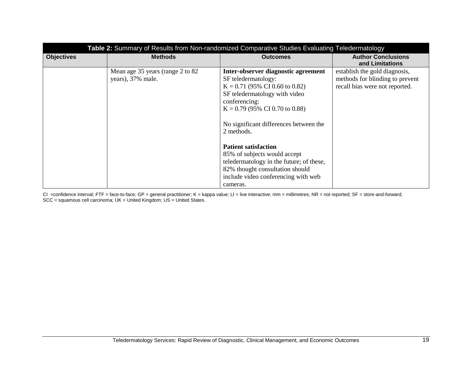| Table 2: Summary of Results from Non-randomized Comparative Studies Evaluating Teledermatology |                                                        |                                                                                                                                                                                                                                                                                                                                                                                                                                               |                                                                                                    |
|------------------------------------------------------------------------------------------------|--------------------------------------------------------|-----------------------------------------------------------------------------------------------------------------------------------------------------------------------------------------------------------------------------------------------------------------------------------------------------------------------------------------------------------------------------------------------------------------------------------------------|----------------------------------------------------------------------------------------------------|
| <b>Objectives</b>                                                                              | <b>Methods</b>                                         | <b>Outcomes</b>                                                                                                                                                                                                                                                                                                                                                                                                                               | <b>Author Conclusions</b><br>and Limitations                                                       |
|                                                                                                | Mean age 35 years (range 2 to 82)<br>years), 37% male. | Inter-observer diagnostic agreement<br>SF teledermatology:<br>$K = 0.71$ (95% CI 0.60 to 0.82)<br>SF teledermatology with video<br>conferencing:<br>$K = 0.79$ (95% CI 0.70 to 0.88)<br>No significant differences between the<br>2 methods.<br><b>Patient satisfaction</b><br>85% of subjects would accept<br>teledermatology in the future; of these,<br>82% thought consultation should<br>include video conferencing with web<br>cameras. | establish the gold diagnosis,<br>methods for blinding to prevent<br>recall bias were not reported. |

CI =confidence interval; FTF = face-to-face; GP = general practitioner; K = kappa value; LI = live interactive; mm = millimetres; NR = not reported; SF = store-and-forward; SCC = squamous cell carcinoma; UK = United Kingdom; US = United States.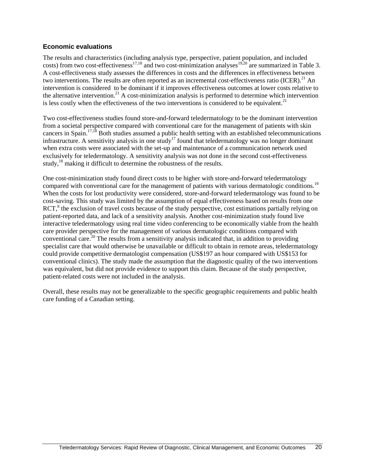#### **Economic evaluations**

The results and characteristics (including analysis type, perspective, patient population, and included The results and characteristics (including analysis  $y_1y_2$ ,  $y_2z_3y_4z_5z_6z_7$ ,  $y_1$  are summarized in Table 3. A cost-effectiveness study assesses the differences in costs and the differences in effectiveness between two interventions. The results are often reported as an incremental cost-effectiveness ratio (ICER).<sup>21</sup> An intervention is considered to be dominant if it improves effectiveness outcomes at lower costs relative to the alternative intervention.<sup>21</sup> A cost-minimization analysis is performed to determine which intervention is less costly when the effectiveness of the two interventions is considered to be equivalent.<sup>21</sup>

Two cost-effectiveness studies found store-and-forward teledermatology to be the dominant intervention from a societal perspective compared with conventional care for the management of patients with skin cancers in Spain.<sup>17,18</sup> Both studies assumed a public health setting with an established telecommunications infrastructure. A sensitivity analysis in one study<sup>17</sup> found that teledermatology was no longer dominant when extra costs were associated with the set-up and maintenance of a communication network used exclusively for teledermatology. A sensitivity analysis was not done in the second cost-effectiveness study,<sup>18</sup> making it difficult to determine the robustness of the results.

One cost-minimization study found direct costs to be higher with store-and-forward teledermatology compared with conventional care for the management of patients with various dermatologic conditions.<sup>19</sup> When the costs for lost productivity were considered, store-and-forward teledermatology was found to be cost-saving. This study was limited by the assumption of equal effectiveness based on results from one RCT,<sup>8</sup> the exclusion of travel costs because of the study perspective, cost estimations partially relying on patient-reported data, and lack of a sensitivity analysis. Another cost-minimization study found live interactive teledermatology using real time video conferencing to be economically viable from the health care provider perspective for the management of various dermatologic conditions compared with conventional care.<sup>20</sup> The results from a sensitivity analysis indicated that, in addition to providing specialist care that would otherwise be unavailable or difficult to obtain in remote areas, teledermatology could provide competitive dermatologist compensation (US\$197 an hour compared with US\$153 for conventional clinics). The study made the assumption that the diagnostic quality of the two interventions was equivalent, but did not provide evidence to support this claim. Because of the study perspective, patient-related costs were not included in the analysis.

Overall, these results may not be generalizable to the specific geographic requirements and public health care funding of a Canadian setting.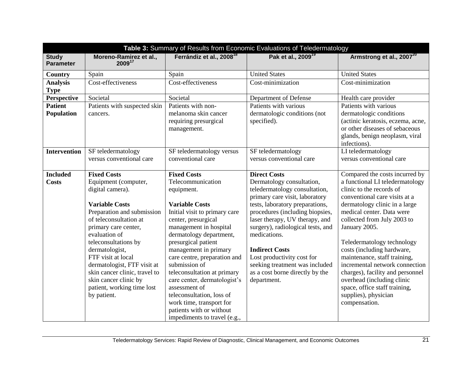| Table 3: Summary of Results from Economic Evaluations of Teledermatology |                                                                                                                                                                                                                                                                                                                              |                                                                                                                                                                                                                                                                                                                                                                                                                                          |                                                                                                                                                                                                                                                                                                      |                                                                                                                                                                                                                                                                                                                                                                                      |
|--------------------------------------------------------------------------|------------------------------------------------------------------------------------------------------------------------------------------------------------------------------------------------------------------------------------------------------------------------------------------------------------------------------|------------------------------------------------------------------------------------------------------------------------------------------------------------------------------------------------------------------------------------------------------------------------------------------------------------------------------------------------------------------------------------------------------------------------------------------|------------------------------------------------------------------------------------------------------------------------------------------------------------------------------------------------------------------------------------------------------------------------------------------------------|--------------------------------------------------------------------------------------------------------------------------------------------------------------------------------------------------------------------------------------------------------------------------------------------------------------------------------------------------------------------------------------|
| <b>Study</b><br><b>Parameter</b>                                         | Moreno-Ramirez et al.,<br>200917                                                                                                                                                                                                                                                                                             | Ferrándiz et al., 2008 <sup>18</sup>                                                                                                                                                                                                                                                                                                                                                                                                     | Pak et al., 2009 <sup>19</sup>                                                                                                                                                                                                                                                                       | Armstrong et al., 2007 <sup>20</sup>                                                                                                                                                                                                                                                                                                                                                 |
| Country                                                                  | Spain                                                                                                                                                                                                                                                                                                                        | Spain                                                                                                                                                                                                                                                                                                                                                                                                                                    | <b>United States</b>                                                                                                                                                                                                                                                                                 | <b>United States</b>                                                                                                                                                                                                                                                                                                                                                                 |
| <b>Analysis</b><br><b>Type</b>                                           | Cost-effectiveness                                                                                                                                                                                                                                                                                                           | Cost-effectiveness                                                                                                                                                                                                                                                                                                                                                                                                                       | Cost-minimization                                                                                                                                                                                                                                                                                    | Cost-minimization                                                                                                                                                                                                                                                                                                                                                                    |
| Perspective                                                              | Societal                                                                                                                                                                                                                                                                                                                     | Societal                                                                                                                                                                                                                                                                                                                                                                                                                                 | Department of Defense                                                                                                                                                                                                                                                                                | Health care provider                                                                                                                                                                                                                                                                                                                                                                 |
| <b>Patient</b>                                                           | Patients with suspected skin                                                                                                                                                                                                                                                                                                 | Patients with non-                                                                                                                                                                                                                                                                                                                                                                                                                       | Patients with various                                                                                                                                                                                                                                                                                | Patients with various                                                                                                                                                                                                                                                                                                                                                                |
| Population                                                               | cancers.                                                                                                                                                                                                                                                                                                                     | melanoma skin cancer<br>requiring presurgical<br>management.                                                                                                                                                                                                                                                                                                                                                                             | dermatologic conditions (not<br>specified).                                                                                                                                                                                                                                                          | dermatologic conditions<br>(actinic keratosis, eczema, acne,<br>or other diseases of sebaceous<br>glands, benign neoplasm, viral<br>infections).                                                                                                                                                                                                                                     |
| <b>Intervention</b>                                                      | SF teledermatology<br>versus conventional care                                                                                                                                                                                                                                                                               | SF teledermatology versus<br>conventional care                                                                                                                                                                                                                                                                                                                                                                                           | SF teledermatology<br>versus conventional care                                                                                                                                                                                                                                                       | LI teledermatology<br>versus conventional care                                                                                                                                                                                                                                                                                                                                       |
| <b>Included</b>                                                          | <b>Fixed Costs</b>                                                                                                                                                                                                                                                                                                           | <b>Fixed Costs</b>                                                                                                                                                                                                                                                                                                                                                                                                                       | <b>Direct Costs</b>                                                                                                                                                                                                                                                                                  | Compared the costs incurred by                                                                                                                                                                                                                                                                                                                                                       |
| <b>Costs</b>                                                             | Equipment (computer,<br>digital camera).                                                                                                                                                                                                                                                                                     | Telecommunication<br>equipment.                                                                                                                                                                                                                                                                                                                                                                                                          | Dermatology consultation,<br>teledermatology consultation,<br>primary care visit, laboratory                                                                                                                                                                                                         | a functional LI teledermatology<br>clinic to the records of<br>conventional care visits at a                                                                                                                                                                                                                                                                                         |
|                                                                          | <b>Variable Costs</b><br>Preparation and submission<br>of teleconsultation at<br>primary care center,<br>evaluation of<br>teleconsultations by<br>dermatologist,<br>FTF visit at local<br>dermatologist, FTF visit at<br>skin cancer clinic, travel to<br>skin cancer clinic by<br>patient, working time lost<br>by patient. | <b>Variable Costs</b><br>Initial visit to primary care<br>center, presurgical<br>management in hospital<br>dermatology department,<br>presurgical patient<br>management in primary<br>care centre, preparation and<br>submission of<br>teleconsultation at primary<br>care center, dermatologist's<br>assessment of<br>teleconsultation, loss of<br>work time, transport for<br>patients with or without<br>impediments to travel (e.g., | tests, laboratory preparations,<br>procedures (including biopsies,<br>laser therapy, UV therapy, and<br>surgery), radiological tests, and<br>medications.<br><b>Indirect Costs</b><br>Lost productivity cost for<br>seeking treatment was included<br>as a cost borne directly by the<br>department. | dermatology clinic in a large<br>medical center. Data were<br>collected from July 2003 to<br>January 2005.<br>Teledermatology technology<br>costs (including hardware,<br>maintenance, staff training,<br>incremental network connection<br>charges), facility and personnel<br>overhead (including clinic<br>space, office staff training,<br>supplies), physician<br>compensation. |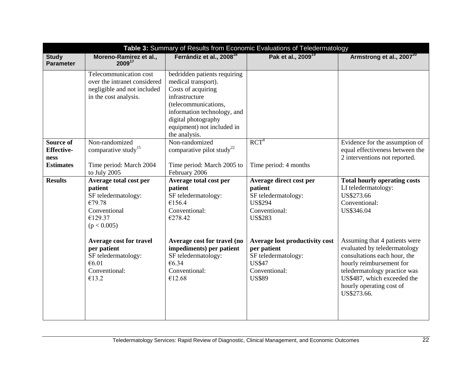| Table 3: Summary of Results from Economic Evaluations of Teledermatology |                                                                                                                |                                                                                                                                                                                                                          |                                                                                                                         |                                                                                                                                                                                                                                     |
|--------------------------------------------------------------------------|----------------------------------------------------------------------------------------------------------------|--------------------------------------------------------------------------------------------------------------------------------------------------------------------------------------------------------------------------|-------------------------------------------------------------------------------------------------------------------------|-------------------------------------------------------------------------------------------------------------------------------------------------------------------------------------------------------------------------------------|
| <b>Study</b><br><b>Parameter</b>                                         | Moreno-Ramirez et al.,<br>200917                                                                               | Ferrándiz et al., 2008 <sup>18</sup>                                                                                                                                                                                     | Pak et al., 2009 <sup>19</sup>                                                                                          | Armstrong et al., 2007 <sup>20</sup>                                                                                                                                                                                                |
|                                                                          | Telecommunication cost<br>over the intranet considered<br>negligible and not included<br>in the cost analysis. | bedridden patients requiring<br>medical transport).<br>Costs of acquiring<br>infrastructure<br>(telecommunications,<br>information technology, and<br>digital photography<br>equipment) not included in<br>the analysis. |                                                                                                                         |                                                                                                                                                                                                                                     |
| <b>Source of</b><br><b>Effective-</b><br>ness<br><b>Estimates</b>        | Non-randomized<br>comparative study <sup>15</sup><br>Time period: March 2004<br>to July 2005                   | Non-randomized<br>comparative pilot study <sup>22</sup><br>Time period: March 2005 to<br>February 2006                                                                                                                   | $RCT^8$<br>Time period: 4 months                                                                                        | Evidence for the assumption of<br>equal effectiveness between the<br>2 interventions not reported.                                                                                                                                  |
| <b>Results</b>                                                           | Average total cost per<br>patient<br>SF teledermatology:<br>€79.78<br>Conventional<br>€129.37<br>(p < 0.005)   | Average total cost per<br>patient<br>SF teledermatology:<br>€156.4<br>Conventional:<br>€278.42                                                                                                                           | Average direct cost per<br>patient<br>SF teledermatology:<br><b>US\$294</b><br>Conventional:<br><b>US\$283</b>          | <b>Total hourly operating costs</b><br>LI teledermatology:<br>US\$273.66<br>Conventional:<br>US\$346.04                                                                                                                             |
|                                                                          | Average cost for travel<br>per patient<br>SF teledermatology:<br>€6.01<br>Conventional:<br>€13.2               | Average cost for travel (no<br>impediments) per patient<br>SF teledermatology:<br>€6.34<br>Conventional:<br>€12.68                                                                                                       | Average lost productivity cost<br>per patient<br>SF teledermatology:<br><b>US\$47</b><br>Conventional:<br><b>US\$89</b> | Assuming that 4 patients were<br>evaluated by teledermatology<br>consultations each hour, the<br>hourly reimbursement for<br>teledermatology practice was<br>US\$487, which exceeded the<br>hourly operating cost of<br>US\$273.66. |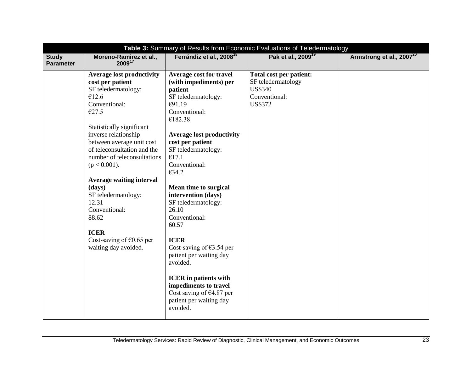| Table 3: Summary of Results from Economic Evaluations of Teledermatology |                                                                                                                                                                                                                                                                                                                                                                                                                                                                       |                                                                                                                                                                                                                                                                                                                                                                                                                                                                                                                                                                           |                                                                                                    |                                      |
|--------------------------------------------------------------------------|-----------------------------------------------------------------------------------------------------------------------------------------------------------------------------------------------------------------------------------------------------------------------------------------------------------------------------------------------------------------------------------------------------------------------------------------------------------------------|---------------------------------------------------------------------------------------------------------------------------------------------------------------------------------------------------------------------------------------------------------------------------------------------------------------------------------------------------------------------------------------------------------------------------------------------------------------------------------------------------------------------------------------------------------------------------|----------------------------------------------------------------------------------------------------|--------------------------------------|
| <b>Study</b><br><b>Parameter</b>                                         | Moreno-Ramirez et al.,<br>200917                                                                                                                                                                                                                                                                                                                                                                                                                                      | Ferrándiz et al., 2008 <sup>18</sup>                                                                                                                                                                                                                                                                                                                                                                                                                                                                                                                                      | Pak et al., 2009 <sup>19</sup>                                                                     | Armstrong et al., 2007 <sup>20</sup> |
|                                                                          | <b>Average lost productivity</b><br>cost per patient<br>SF teledermatology:<br>€12.6<br>Conventional:<br>€27.5<br>Statistically significant<br>inverse relationship<br>between average unit cost<br>of teleconsultation and the<br>number of teleconsultations<br>$(p < 0.001)$ .<br><b>Average waiting interval</b><br>(days)<br>SF teledermatology:<br>12.31<br>Conventional:<br>88.62<br><b>ICER</b><br>Cost-saving of $\epsilon$ 0.65 per<br>waiting day avoided. | <b>Average cost for travel</b><br>(with impediments) per<br>patient<br>SF teledermatology:<br>€91.19<br>Conventional:<br>€182.38<br><b>Average lost productivity</b><br>cost per patient<br>SF teledermatology:<br>€17.1<br>Conventional:<br>€34.2<br><b>Mean time to surgical</b><br>intervention (days)<br>SF teledermatology:<br>26.10<br>Conventional:<br>60.57<br><b>ICER</b><br>Cost-saving of $63.54$ per<br>patient per waiting day<br>avoided.<br><b>ICER</b> in patients with<br>impediments to travel<br>Cost saving of $€4.87$ per<br>patient per waiting day | Total cost per patient:<br>SF teledermatology<br><b>US\$340</b><br>Conventional:<br><b>US\$372</b> |                                      |
|                                                                          |                                                                                                                                                                                                                                                                                                                                                                                                                                                                       | avoided.                                                                                                                                                                                                                                                                                                                                                                                                                                                                                                                                                                  |                                                                                                    |                                      |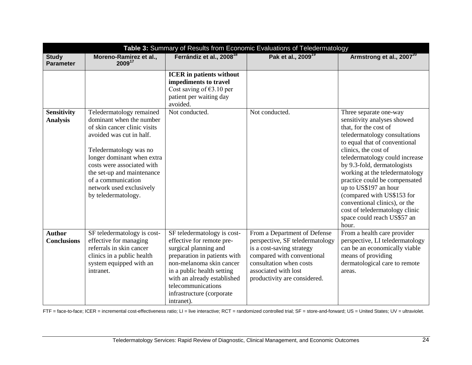|                                       | Table 3: Summary of Results from Economic Evaluations of Teledermatology                                                                                                                                                                                                                                      |                                                                                                                                                                                                                                                                             |                                                                                                                                                                                                               |                                                                                                                                                                                                                                                                                                                                                                                                      |
|---------------------------------------|---------------------------------------------------------------------------------------------------------------------------------------------------------------------------------------------------------------------------------------------------------------------------------------------------------------|-----------------------------------------------------------------------------------------------------------------------------------------------------------------------------------------------------------------------------------------------------------------------------|---------------------------------------------------------------------------------------------------------------------------------------------------------------------------------------------------------------|------------------------------------------------------------------------------------------------------------------------------------------------------------------------------------------------------------------------------------------------------------------------------------------------------------------------------------------------------------------------------------------------------|
| <b>Study</b><br><b>Parameter</b>      | Moreno-Ramirez et al.,<br>200917                                                                                                                                                                                                                                                                              | Ferrándiz et al., 2008 <sup>18</sup>                                                                                                                                                                                                                                        | Pak et al., 2009 <sup>19</sup>                                                                                                                                                                                | Armstrong et al., 2007 <sup>20</sup>                                                                                                                                                                                                                                                                                                                                                                 |
| <b>Sensitivity</b><br><b>Analysis</b> | Teledermatology remained<br>dominant when the number<br>of skin cancer clinic visits<br>avoided was cut in half.<br>Teledermatology was no<br>longer dominant when extra<br>costs were associated with<br>the set-up and maintenance<br>of a communication<br>network used exclusively<br>by teledermatology. | <b>ICER</b> in patients without<br>impediments to travel<br>Cost saving of $63.10$ per<br>patient per waiting day<br>avoided.<br>Not conducted.                                                                                                                             | Not conducted.                                                                                                                                                                                                | Three separate one-way<br>sensitivity analyses showed<br>that, for the cost of<br>teledermatology consultations<br>to equal that of conventional<br>clinics, the cost of<br>teledermatology could increase<br>by 9.3-fold, dermatologists<br>working at the teledermatology<br>practice could be compensated<br>up to US\$197 an hour<br>(compared with US\$153 for<br>conventional clinics), or the |
|                                       |                                                                                                                                                                                                                                                                                                               |                                                                                                                                                                                                                                                                             |                                                                                                                                                                                                               | cost of teledermatology clinic<br>space could reach US\$57 an<br>hour.                                                                                                                                                                                                                                                                                                                               |
| <b>Author</b><br><b>Conclusions</b>   | SF teledermatology is cost-<br>effective for managing<br>referrals in skin cancer<br>clinics in a public health<br>system equipped with an<br>intranet.                                                                                                                                                       | SF teledermatology is cost-<br>effective for remote pre-<br>surgical planning and<br>preparation in patients with<br>non-melanoma skin cancer<br>in a public health setting<br>with an already established<br>telecommunications<br>infrastructure (corporate<br>intranet). | From a Department of Defense<br>perspective, SF teledermatology<br>is a cost-saving strategy<br>compared with conventional<br>consultation when costs<br>associated with lost<br>productivity are considered. | From a health care provider<br>perspective, LI teledermatology<br>can be an economically viable<br>means of providing<br>dermatological care to remote<br>areas.                                                                                                                                                                                                                                     |

FTF = face-to-face; ICER = incremental cost-effectiveness ratio; LI = live interactive; RCT = randomized controlled trial; SF = store-and-forward; US = United States; UV = ultraviolet.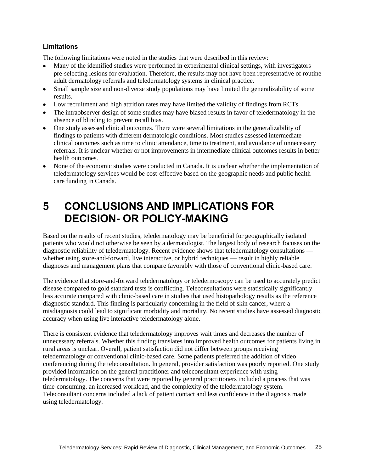#### **Limitations**

The following limitations were noted in the studies that were described in this review:

- Many of the identified studies were performed in experimental clinical settings, with investigators pre-selecting lesions for evaluation. Therefore, the results may not have been representative of routine adult dermatology referrals and teledermatology systems in clinical practice.
- $\bullet$ Small sample size and non-diverse study populations may have limited the generalizability of some results.
- Low recruitment and high attrition rates may have limited the validity of findings from RCTs.
- The intraobserver design of some studies may have biased results in favor of teledermatology in the absence of blinding to prevent recall bias.
- One study assessed clinical outcomes. There were several limitations in the generalizability of findings to patients with different dermatologic conditions. Most studies assessed intermediate clinical outcomes such as time to clinic attendance, time to treatment, and avoidance of unnecessary referrals. It is unclear whether or not improvements in intermediate clinical outcomes results in better health outcomes.
- None of the economic studies were conducted in Canada. It is unclear whether the implementation of teledermatology services would be cost-effective based on the geographic needs and public health care funding in Canada.

### <span id="page-32-0"></span>**5 CONCLUSIONS AND IMPLICATIONS FOR DECISION- OR POLICY-MAKING**

Based on the results of recent studies, teledermatology may be beneficial for geographically isolated patients who would not otherwise be seen by a dermatologist. The largest body of research focuses on the diagnostic reliability of teledermatology. Recent evidence shows that teledermatology consultations whether using store-and-forward, live interactive, or hybrid techniques — result in highly reliable diagnoses and management plans that compare favorably with those of conventional clinic-based care.

The evidence that store-and-forward teledermatology or teledermoscopy can be used to accurately predict disease compared to gold standard tests is conflicting. Teleconsultations were statistically significantly less accurate compared with clinic-based care in studies that used histopathology results as the reference diagnostic standard. This finding is particularly concerning in the field of skin cancer, where a misdiagnosis could lead to significant morbidity and mortality. No recent studies have assessed diagnostic accuracy when using live interactive teledermatology alone.

There is consistent evidence that teledermatology improves wait times and decreases the number of unnecessary referrals. Whether this finding translates into improved health outcomes for patients living in rural areas is unclear. Overall, patient satisfaction did not differ between groups receiving teledermatology or conventional clinic-based care. Some patients preferred the addition of video conferencing during the teleconsultation. In general, provider satisfaction was poorly reported. One study provided information on the general practitioner and teleconsultant experience with using teledermatology. The concerns that were reported by general practitioners included a process that was time-consuming, an increased workload, and the complexity of the teledermatology system. Teleconsultant concerns included a lack of patient contact and less confidence in the diagnosis made using teledermatology.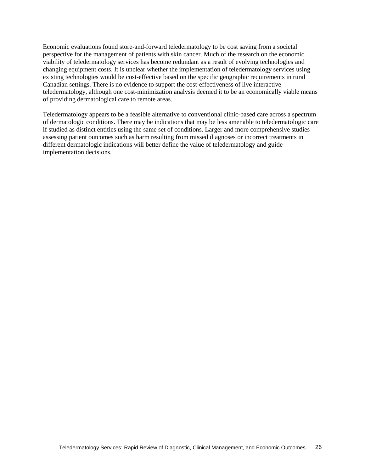Economic evaluations found store-and-forward teledermatology to be cost saving from a societal perspective for the management of patients with skin cancer. Much of the research on the economic viability of teledermatology services has become redundant as a result of evolving technologies and changing equipment costs. It is unclear whether the implementation of teledermatology services using existing technologies would be cost-effective based on the specific geographic requirements in rural Canadian settings. There is no evidence to support the cost-effectiveness of live interactive teledermatology, although one cost-minimization analysis deemed it to be an economically viable means of providing dermatological care to remote areas.

Teledermatology appears to be a feasible alternative to conventional clinic-based care across a spectrum of dermatologic conditions. There may be indications that may be less amenable to teledermatologic care if studied as distinct entities using the same set of conditions. Larger and more comprehensive studies assessing patient outcomes such as harm resulting from missed diagnoses or incorrect treatments in different dermatologic indications will better define the value of teledermatology and guide implementation decisions.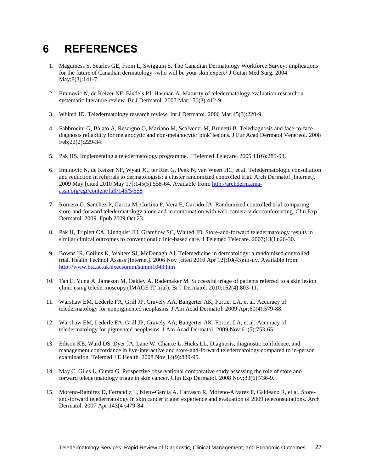### <span id="page-34-0"></span>**6 REFERENCES**

- 1. Maguiness S, Searles GE, From L, Swiggum S. The Canadian Dermatology Workforce Survey: implications for the future of Canadian dermatology--who will be your skin expert? J Cutan Med Surg. 2004 May;8(3):141-7.
- 2. Eminovic N, de Keizer NF, Bindels PJ, Hasman A. Maturity of teledermatology evaluation research: a systematic literature review. Br J Dermatol. 2007 Mar;156(3):412-9.
- 3. Whited JD. Teledermatology research review. Int J Dermatol. 2006 Mar;45(3):220-9.
- 4. Fabbrocini G, Balato A, Rescigno O, Mariano M, Scalvenzi M, Brunetti B. Telediagnosis and face-to-face diagnosis reliability for melanocytic and non-melanocytic 'pink' lesions. J Eur Acad Dermatol Venereol. 2008 Feb;22(2):229-34.
- 5. Pak HS. Implementing a teledermatology programme. J Telemed Telecare. 2005;11(6):285-93.
- 6. Eminovic N, de Keizer NF, Wyatt JC, ter Riet G, Peek N, van Weert HC, et al. Teledermatologic consultation and reduction in referrals to dermatologists: a cluster randomized controlled trial. Arch Dermatol [Internet]. 2009 May [cited 2010 May 17];145(5):558-64. Available from: [http://archderm.ama](http://archderm.ama-assn.org/cgi/content/full/145/5/558)[assn.org/cgi/content/full/145/5/558](http://archderm.ama-assn.org/cgi/content/full/145/5/558)
- 7. Romero G, Sanchez P, Garcia M, Cortina P, Vera E, Garrido JA. Randomized controlled trial comparing store-and-forward teledermatology alone and in combination with web-camera videoconferencing. Clin Exp Dermatol. 2009. Epub 2009 Oct 23.
- 8. Pak H, Triplett CA, Lindquist JH, Grambow SC, Whited JD. Store-and-forward teledermatology results in similar clinical outcomes to conventional clinic-based care. J Telemed Telecare. 2007;13(1):26-30.
- 9. Bowns IR, Collins K, Walters SJ, McDonagh AJ. Telemedicine in dermatology: a randomised controlled trial. Health Technol Assess [Internet]. 2006 Nov [cited 2010 Apr 12];10(43):iii-iiv. Available from: <http://www.hta.ac.uk/execsumm/summ1043.htm>
- 10. Tan E, Yung A, Jameson M, Oakley A, Rademaker M. Successful triage of patients referred to a skin lesion clinic using teledermoscopy (IMAGE IT trial). Br J Dermatol. 2010;162(4):803-11.
- 11. Warshaw EM, Lederle FA, Grill JP, Gravely AA, Bangerter AK, Fortier LA, et al. Accuracy of teledermatology for nonpigmented neoplasms. J Am Acad Dermatol. 2009 Apr;60(4):579-88.
- 12. Warshaw EM, Lederle FA, Grill JP, Gravely AA, Bangerter AK, Fortier LA, et al. Accuracy of teledermatology for pigmented neoplasms. J Am Acad Dermatol. 2009 Nov;61(5):753-65.
- 13. Edison KE, Ward DS, Dyer JA, Lane W, Chance L, Hicks LL. Diagnosis, diagnostic confidence, and management concordance in live-interactive and store-and-forward teledermatology compared to in-person examination. Telemed J E Health. 2008 Nov;14(9):889-95.
- 14. May C, Giles L, Gupta G. Prospective observational comparative study assessing the role of store and forward teledermatology triage in skin cancer. Clin Exp Dermatol. 2008 Nov;33(6):736-9.
- 15. Moreno-Ramirez D, Ferrandiz L, Nieto-Garcia A, Carrasco R, Moreno-Alvarez P, Galdeano R, et al. Storeand-forward teledermatology in skin cancer triage: experience and evaluation of 2009 teleconsultations. Arch Dermatol. 2007 Apr;143(4):479-84.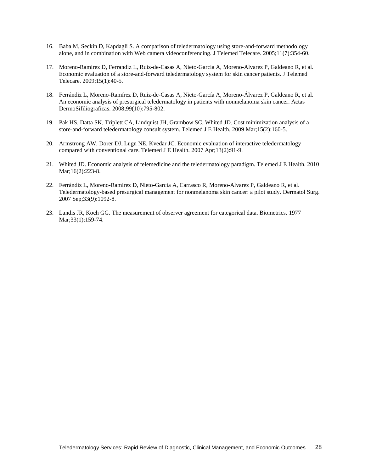- 16. Baba M, Seckin D, Kapdagli S. A comparison of teledermatology using store-and-forward methodology alone, and in combination with Web camera videoconferencing. J Telemed Telecare. 2005;11(7):354-60.
- 17. Moreno-Ramirez D, Ferrandiz L, Ruiz-de-Casas A, Nieto-Garcia A, Moreno-Alvarez P, Galdeano R, et al. Economic evaluation of a store-and-forward teledermatology system for skin cancer patients. J Telemed Telecare. 2009;15(1):40-5.
- 18. Ferrándiz L, Moreno-Ramírez D, Ruiz-de-Casas A, Nieto-García A, Moreno-Álvarez P, Galdeano R, et al. An economic analysis of presurgical teledermatology in patients with nonmelanoma skin cancer. Actas DermoSifiliograficas. 2008;99(10):795-802.
- 19. Pak HS, Datta SK, Triplett CA, Lindquist JH, Grambow SC, Whited JD. Cost minimization analysis of a store-and-forward teledermatology consult system. Telemed J E Health. 2009 Mar;15(2):160-5.
- 20. Armstrong AW, Dorer DJ, Lugn NE, Kvedar JC. Economic evaluation of interactive teledermatology compared with conventional care. Telemed J E Health. 2007 Apr;13(2):91-9.
- 21. Whited JD. Economic analysis of telemedicine and the teledermatology paradigm. Telemed J E Health. 2010 Mar;16(2):223-8.
- 22. Ferrándiz L, Moreno-Ramirez D, Nieto-Garcia A, Carrasco R, Moreno-Alvarez P, Galdeano R, et al. Teledermatology-based presurgical management for nonmelanoma skin cancer: a pilot study. Dermatol Surg. 2007 Sep;33(9):1092-8.
- 23. Landis JR, Koch GG. The measurement of observer agreement for categorical data. Biometrics. 1977 Mar;33(1):159-74.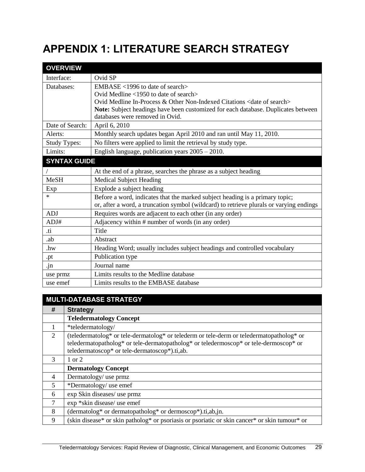# <span id="page-36-0"></span>**APPENDIX 1: LITERATURE SEARCH STRATEGY**

| <b>OVERVIEW</b>     |                                                                                         |
|---------------------|-----------------------------------------------------------------------------------------|
| Interface:          | Ovid SP                                                                                 |
| Databases:          | EMBASE <1996 to date of search>                                                         |
|                     | Ovid Medline $\langle 1950 \rangle$ to date of search                                   |
|                     | Ovid Medline In-Process & Other Non-Indexed Citations <date of="" search=""></date>     |
|                     | Note: Subject headings have been customized for each database. Duplicates between       |
|                     | databases were removed in Ovid.                                                         |
| Date of Search:     | April 6, 2010                                                                           |
| Alerts:             | Monthly search updates began April 2010 and ran until May 11, 2010.                     |
| <b>Study Types:</b> | No filters were applied to limit the retrieval by study type.                           |
| Limits:             | English language, publication years 2005 - 2010.                                        |
| <b>SYNTAX GUIDE</b> |                                                                                         |
|                     | At the end of a phrase, searches the phrase as a subject heading                        |
| <b>MeSH</b>         | <b>Medical Subject Heading</b>                                                          |
| Exp                 | Explode a subject heading                                                               |
| $\ast$              | Before a word, indicates that the marked subject heading is a primary topic;            |
|                     | or, after a word, a truncation symbol (wildcard) to retrieve plurals or varying endings |
| <b>ADJ</b>          | Requires words are adjacent to each other (in any order)                                |
| ADJ#                | Adjacency within # number of words (in any order)                                       |
| .ti                 | Title                                                                                   |
| .ab                 | Abstract                                                                                |
| .hw                 | Heading Word; usually includes subject headings and controlled vocabulary               |
| .pt                 | Publication type                                                                        |
| .jn                 | Journal name                                                                            |
| use prmz            | Limits results to the Medline database                                                  |
| use emef            | Limits results to the EMBASE database                                                   |

|                | <b>MULTI-DATABASE STRATEGY</b>                                                                                                                                                                                                     |
|----------------|------------------------------------------------------------------------------------------------------------------------------------------------------------------------------------------------------------------------------------|
| #              | <b>Strategy</b>                                                                                                                                                                                                                    |
|                | <b>Teledermatology Concept</b>                                                                                                                                                                                                     |
|                | *teledermatology/                                                                                                                                                                                                                  |
| 2              | (teledermatolog* or tele-dermatolog* or telederm or tele-derm or teledermatopatholog* or<br>teledermatopatholog* or tele-dermatopatholog* or teledermoscop* or tele-dermoscop* or<br>teledermatoscop* or tele-dermatoscop*).ti,ab. |
| $\mathcal{R}$  | 1 or 2                                                                                                                                                                                                                             |
|                | <b>Dermatology Concept</b>                                                                                                                                                                                                         |
| $\overline{4}$ | Dermatology/ use prmz                                                                                                                                                                                                              |
| 5              | *Dermatology/ use emef                                                                                                                                                                                                             |
| 6              | exp Skin diseases/ use prmz                                                                                                                                                                                                        |
| 7              | exp *skin disease/ use emef                                                                                                                                                                                                        |
| 8              | $(dermatolog* or dermatopatholog* or dermoscop*).ti,ab,in.$                                                                                                                                                                        |
| 9              | (skin disease* or skin patholog* or psoriasis or psoriatic or skin cancer* or skin tumour* or                                                                                                                                      |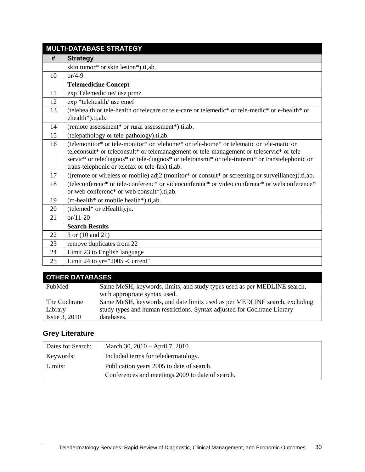|    | <b>MULTI-DATABASE STRATEGY</b>                                                                                                                                                                                                                                                                                                             |
|----|--------------------------------------------------------------------------------------------------------------------------------------------------------------------------------------------------------------------------------------------------------------------------------------------------------------------------------------------|
| #  | <b>Strategy</b>                                                                                                                                                                                                                                                                                                                            |
|    | skin tumor* or skin lesion*).ti,ab.                                                                                                                                                                                                                                                                                                        |
| 10 | $or/4-9$                                                                                                                                                                                                                                                                                                                                   |
|    | <b>Telemedicine Concept</b>                                                                                                                                                                                                                                                                                                                |
| 11 | exp Telemedicine/ use prmz                                                                                                                                                                                                                                                                                                                 |
| 12 | exp *telehealth/ use emef                                                                                                                                                                                                                                                                                                                  |
| 13 | (telehealth or tele-health or telecare or tele-care or telemedic* or tele-medic* or e-health* or<br>ehealth*).ti,ab.                                                                                                                                                                                                                       |
| 14 | (remote assessment* or rural assessment*).ti,ab.                                                                                                                                                                                                                                                                                           |
| 15 | (telepathology or tele-pathology).ti,ab.                                                                                                                                                                                                                                                                                                   |
| 16 | (telemonitor* or tele-monitor* or telehome* or tele-home* or telematic or tele-matic or<br>teleconsult* or teleconsult* or telemanagement or tele-management or teleservic* or tele-<br>servic* or telediagnos* or tele-diagnos* or teletransmi* or tele-transmi* or transtelephonic or<br>trans-telephonic or telefax or tele-fax).ti,ab. |
| 17 | ((remote or wireless or mobile) adj2 (monitor* or consult* or screening or surveillance)).ti,ab.                                                                                                                                                                                                                                           |
| 18 | (teleconferenc* or tele-conferenc* or videoconferenc* or video conferenc* or webconference*<br>or web conferenc <sup>*</sup> or web consult <sup>*</sup> ).ti,ab.                                                                                                                                                                          |
| 19 | (m-health* or mobile health*).ti,ab.                                                                                                                                                                                                                                                                                                       |
| 20 | (telemed* or eHealth).jn.                                                                                                                                                                                                                                                                                                                  |
| 21 | $or/11-20$                                                                                                                                                                                                                                                                                                                                 |
|    | <b>Search Results</b>                                                                                                                                                                                                                                                                                                                      |
| 22 | 3 or (10 and 21)                                                                                                                                                                                                                                                                                                                           |
| 23 | remove duplicates from 22                                                                                                                                                                                                                                                                                                                  |
| 24 | Limit 23 to English language                                                                                                                                                                                                                                                                                                               |
| 25 | Limit 24 to yr="2005 -Current"                                                                                                                                                                                                                                                                                                             |

| <b>OTHER DATABASES</b> |                                                                            |  |
|------------------------|----------------------------------------------------------------------------|--|
| PubMed                 | Same MeSH, keywords, limits, and study types used as per MEDLINE search,   |  |
|                        | with appropriate syntax used.                                              |  |
| The Cochrane           | Same MeSH, keywords, and date limits used as per MEDLINE search, excluding |  |
| Library                | study types and human restrictions. Syntax adjusted for Cochrane Library   |  |
| <b>Issue 3, 2010</b>   | databases.                                                                 |  |

### **Grey Literature**

| Dates for Search: | March 30, 2010 – April 7, 2010.                  |
|-------------------|--------------------------------------------------|
| Keywords:         | Included terms for teledermatology.              |
| Limits:           | Publication years 2005 to date of search.        |
|                   | Conferences and meetings 2009 to date of search. |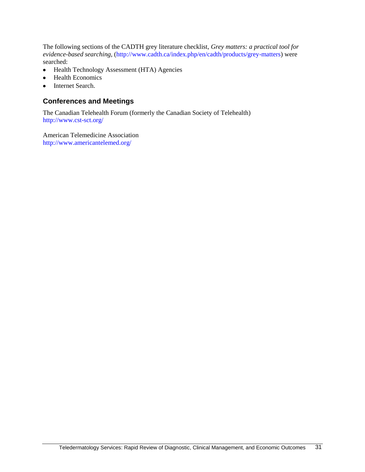The following sections of the CADTH grey literature checklist, *Grey matters: a practical tool for evidence-based searching*, [\(http://www.cadth.ca/index.php/en/cadth/products/grey-matters\)](http://www.cadth.ca/index.php/en/cadth/products/grey-matters) were searched:

- Health Technology Assessment (HTA) Agencies  $\bullet$
- $\bullet$ Health Economics
- Internet Search.  $\bullet$

#### **Conferences and Meetings**

The Canadian Telehealth Forum (formerly the Canadian Society of Telehealth) <http://www.cst-sct.org/>

American Telemedicine Association <http://www.americantelemed.org/>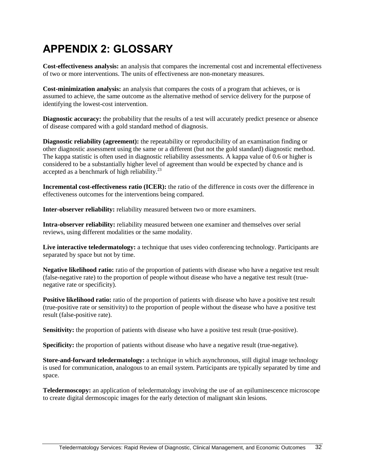## <span id="page-39-0"></span>**APPENDIX 2: GLOSSARY**

**Cost-effectiveness analysis:** an analysis that compares the incremental cost and incremental effectiveness of two or more interventions. The units of effectiveness are non-monetary measures.

**Cost-minimization analysis:** an analysis that compares the costs of a program that achieves, or is assumed to achieve, the same outcome as the alternative method of service delivery for the purpose of identifying the lowest-cost intervention.

**Diagnostic accuracy:** the probability that the results of a test will accurately predict presence or absence of disease compared with a gold standard method of diagnosis.

**Diagnostic reliability (agreement):** the repeatability or reproducibility of an examination finding or other diagnostic assessment using the same or a different (but not the gold standard) diagnostic method. The kappa statistic is often used in diagnostic reliability assessments. A kappa value of 0.6 or higher is considered to be a substantially higher level of agreement than would be expected by chance and is accepted as a benchmark of high reliability. $^{23}$ 

**Incremental cost-effectiveness ratio (ICER):** the ratio of the difference in costs over the difference in effectiveness outcomes for the interventions being compared.

**Inter-observer reliability:** reliability measured between two or more examiners.

**Intra-observer reliability:** reliability measured between one examiner and themselves over serial reviews, using different modalities or the same modality.

**Live interactive teledermatology:** a technique that uses video conferencing technology. Participants are separated by space but not by time.

**Negative likelihood ratio:** ratio of the proportion of patients with disease who have a negative test result (false-negative rate) to the proportion of people without disease who have a negative test result (truenegative rate or specificity).

**Positive likelihood ratio:** ratio of the proportion of patients with disease who have a positive test result (true-positive rate or sensitivity) to the proportion of people without the disease who have a positive test result (false-positive rate).

**Sensitivity:** the proportion of patients with disease who have a positive test result (true-positive).

**Specificity:** the proportion of patients without disease who have a negative result (true-negative).

**Store-and-forward teledermatology:** a technique in which asynchronous, still digital image technology is used for communication, analogous to an email system. Participants are typically separated by time and space.

**Teledermoscopy:** an application of teledermatology involving the use of an epiluminescence microscope to create digital dermoscopic images for the early detection of malignant skin lesions.